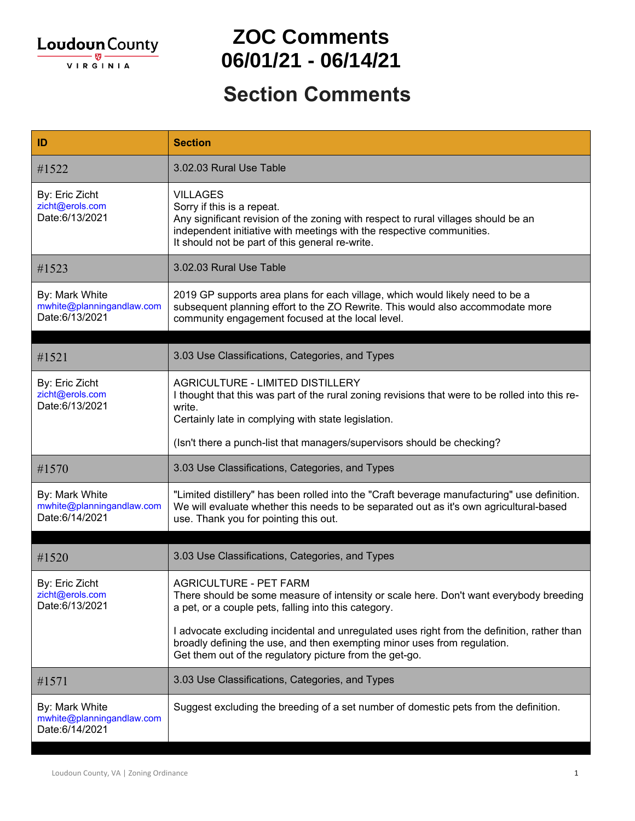

#### **ZOC Comments 06/01/21 - 06/14/21**

| ID                                                            | <b>Section</b>                                                                                                                                                                                                                                                  |
|---------------------------------------------------------------|-----------------------------------------------------------------------------------------------------------------------------------------------------------------------------------------------------------------------------------------------------------------|
| #1522                                                         | 3.02.03 Rural Use Table                                                                                                                                                                                                                                         |
| By: Eric Zicht<br>zicht@erols.com<br>Date:6/13/2021           | <b>VILLAGES</b><br>Sorry if this is a repeat.<br>Any significant revision of the zoning with respect to rural villages should be an<br>independent initiative with meetings with the respective communities.<br>It should not be part of this general re-write. |
| #1523                                                         | 3.02.03 Rural Use Table                                                                                                                                                                                                                                         |
| By: Mark White<br>mwhite@planningandlaw.com<br>Date:6/13/2021 | 2019 GP supports area plans for each village, which would likely need to be a<br>subsequent planning effort to the ZO Rewrite. This would also accommodate more<br>community engagement focused at the local level.                                             |
|                                                               |                                                                                                                                                                                                                                                                 |
| #1521                                                         | 3.03 Use Classifications, Categories, and Types                                                                                                                                                                                                                 |
| By: Eric Zicht<br>zicht@erols.com<br>Date:6/13/2021           | <b>AGRICULTURE - LIMITED DISTILLERY</b><br>I thought that this was part of the rural zoning revisions that were to be rolled into this re-<br>write.<br>Certainly late in complying with state legislation.                                                     |
|                                                               | (Isn't there a punch-list that managers/supervisors should be checking?                                                                                                                                                                                         |
| #1570                                                         | 3.03 Use Classifications, Categories, and Types                                                                                                                                                                                                                 |
| By: Mark White<br>mwhite@planningandlaw.com<br>Date:6/14/2021 | "Limited distillery" has been rolled into the "Craft beverage manufacturing" use definition.<br>We will evaluate whether this needs to be separated out as it's own agricultural-based<br>use. Thank you for pointing this out.                                 |
| #1520                                                         | 3.03 Use Classifications, Categories, and Types                                                                                                                                                                                                                 |
| By: Eric Zicht<br>zicht@erols.com<br>Date:6/13/2021           | <b>AGRICULTURE - PET FARM</b><br>There should be some measure of intensity or scale here. Don't want everybody breeding<br>a pet, or a couple pets, falling into this category.                                                                                 |
|                                                               | I advocate excluding incidental and unregulated uses right from the definition, rather than<br>broadly defining the use, and then exempting minor uses from regulation.<br>Get them out of the regulatory picture from the get-go.                              |
| #1571                                                         | 3.03 Use Classifications, Categories, and Types                                                                                                                                                                                                                 |
| By: Mark White<br>mwhite@planningandlaw.com<br>Date:6/14/2021 | Suggest excluding the breeding of a set number of domestic pets from the definition.                                                                                                                                                                            |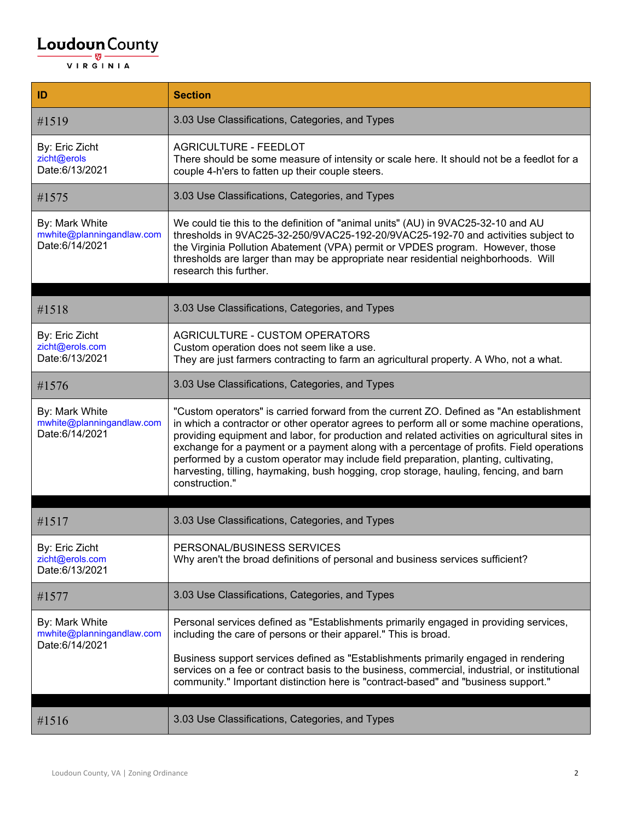| ID                                                            | <b>Section</b>                                                                                                                                                                                                                                                                                                                                                                                                                                                                                                                                                                        |
|---------------------------------------------------------------|---------------------------------------------------------------------------------------------------------------------------------------------------------------------------------------------------------------------------------------------------------------------------------------------------------------------------------------------------------------------------------------------------------------------------------------------------------------------------------------------------------------------------------------------------------------------------------------|
| #1519                                                         | 3.03 Use Classifications, Categories, and Types                                                                                                                                                                                                                                                                                                                                                                                                                                                                                                                                       |
| By: Eric Zicht<br>zicht@erols<br>Date:6/13/2021               | <b>AGRICULTURE - FEEDLOT</b><br>There should be some measure of intensity or scale here. It should not be a feedlot for a<br>couple 4-h'ers to fatten up their couple steers.                                                                                                                                                                                                                                                                                                                                                                                                         |
| #1575                                                         | 3.03 Use Classifications, Categories, and Types                                                                                                                                                                                                                                                                                                                                                                                                                                                                                                                                       |
| By: Mark White<br>mwhite@planningandlaw.com<br>Date:6/14/2021 | We could tie this to the definition of "animal units" (AU) in 9VAC25-32-10 and AU<br>thresholds in 9VAC25-32-250/9VAC25-192-20/9VAC25-192-70 and activities subject to<br>the Virginia Pollution Abatement (VPA) permit or VPDES program. However, those<br>thresholds are larger than may be appropriate near residential neighborhoods. Will<br>research this further.                                                                                                                                                                                                              |
| #1518                                                         | 3.03 Use Classifications, Categories, and Types                                                                                                                                                                                                                                                                                                                                                                                                                                                                                                                                       |
| By: Eric Zicht<br>zicht@erols.com<br>Date:6/13/2021           | AGRICULTURE - CUSTOM OPERATORS<br>Custom operation does not seem like a use.<br>They are just farmers contracting to farm an agricultural property. A Who, not a what.                                                                                                                                                                                                                                                                                                                                                                                                                |
| #1576                                                         | 3.03 Use Classifications, Categories, and Types                                                                                                                                                                                                                                                                                                                                                                                                                                                                                                                                       |
| By: Mark White<br>mwhite@planningandlaw.com<br>Date:6/14/2021 | "Custom operators" is carried forward from the current ZO. Defined as "An establishment<br>in which a contractor or other operator agrees to perform all or some machine operations,<br>providing equipment and labor, for production and related activities on agricultural sites in<br>exchange for a payment or a payment along with a percentage of profits. Field operations<br>performed by a custom operator may include field preparation, planting, cultivating,<br>harvesting, tilling, haymaking, bush hogging, crop storage, hauling, fencing, and barn<br>construction." |
| #1517                                                         | 3.03 Use Classifications, Categories, and Types                                                                                                                                                                                                                                                                                                                                                                                                                                                                                                                                       |
| By: Eric Zicht<br>zicht@erols.com<br>Date:6/13/2021           | PERSONAL/BUSINESS SERVICES<br>Why aren't the broad definitions of personal and business services sufficient?                                                                                                                                                                                                                                                                                                                                                                                                                                                                          |
| #1577                                                         | 3.03 Use Classifications, Categories, and Types                                                                                                                                                                                                                                                                                                                                                                                                                                                                                                                                       |
| By: Mark White<br>mwhite@planningandlaw.com<br>Date:6/14/2021 | Personal services defined as "Establishments primarily engaged in providing services,<br>including the care of persons or their apparel." This is broad.<br>Business support services defined as "Establishments primarily engaged in rendering<br>services on a fee or contract basis to the business, commercial, industrial, or institutional<br>community." Important distinction here is "contract-based" and "business support."                                                                                                                                                |
|                                                               |                                                                                                                                                                                                                                                                                                                                                                                                                                                                                                                                                                                       |
| #1516                                                         | 3.03 Use Classifications, Categories, and Types                                                                                                                                                                                                                                                                                                                                                                                                                                                                                                                                       |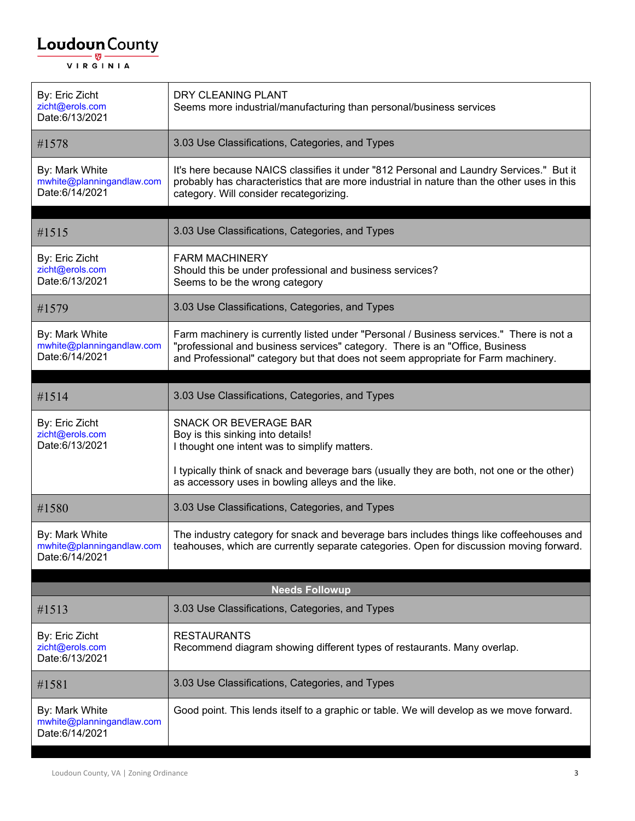| By: Eric Zicht<br>zicht@erols.com<br>Date:6/13/2021           | DRY CLEANING PLANT<br>Seems more industrial/manufacturing than personal/business services                                                                                                                                                                    |
|---------------------------------------------------------------|--------------------------------------------------------------------------------------------------------------------------------------------------------------------------------------------------------------------------------------------------------------|
| #1578                                                         | 3.03 Use Classifications, Categories, and Types                                                                                                                                                                                                              |
| By: Mark White<br>mwhite@planningandlaw.com<br>Date:6/14/2021 | It's here because NAICS classifies it under "812 Personal and Laundry Services." But it<br>probably has characteristics that are more industrial in nature than the other uses in this<br>category. Will consider recategorizing.                            |
|                                                               |                                                                                                                                                                                                                                                              |
| #1515                                                         | 3.03 Use Classifications, Categories, and Types                                                                                                                                                                                                              |
| By: Eric Zicht<br>zicht@erols.com<br>Date:6/13/2021           | <b>FARM MACHINERY</b><br>Should this be under professional and business services?<br>Seems to be the wrong category                                                                                                                                          |
| #1579                                                         | 3.03 Use Classifications, Categories, and Types                                                                                                                                                                                                              |
| By: Mark White<br>mwhite@planningandlaw.com<br>Date:6/14/2021 | Farm machinery is currently listed under "Personal / Business services." There is not a<br>"professional and business services" category. There is an "Office, Business<br>and Professional" category but that does not seem appropriate for Farm machinery. |
|                                                               |                                                                                                                                                                                                                                                              |
| #1514                                                         | 3.03 Use Classifications, Categories, and Types                                                                                                                                                                                                              |
| By: Eric Zicht<br>zicht@erols.com<br>Date:6/13/2021           | <b>SNACK OR BEVERAGE BAR</b><br>Boy is this sinking into details!<br>I thought one intent was to simplify matters.                                                                                                                                           |
|                                                               | I typically think of snack and beverage bars (usually they are both, not one or the other)<br>as accessory uses in bowling alleys and the like.                                                                                                              |
| #1580                                                         | 3.03 Use Classifications, Categories, and Types                                                                                                                                                                                                              |
| By: Mark White<br>mwhite@planningandlaw.com<br>Date:6/14/2021 | The industry category for snack and beverage bars includes things like coffeehouses and<br>teahouses, which are currently separate categories. Open for discussion moving forward.                                                                           |
|                                                               | <b>Needs Followup</b>                                                                                                                                                                                                                                        |
| #1513                                                         | 3.03 Use Classifications, Categories, and Types                                                                                                                                                                                                              |
| By: Eric Zicht<br>zicht@erols.com<br>Date:6/13/2021           | <b>RESTAURANTS</b><br>Recommend diagram showing different types of restaurants. Many overlap.                                                                                                                                                                |
| #1581                                                         | 3.03 Use Classifications, Categories, and Types                                                                                                                                                                                                              |
| By: Mark White<br>mwhite@planningandlaw.com<br>Date:6/14/2021 | Good point. This lends itself to a graphic or table. We will develop as we move forward.                                                                                                                                                                     |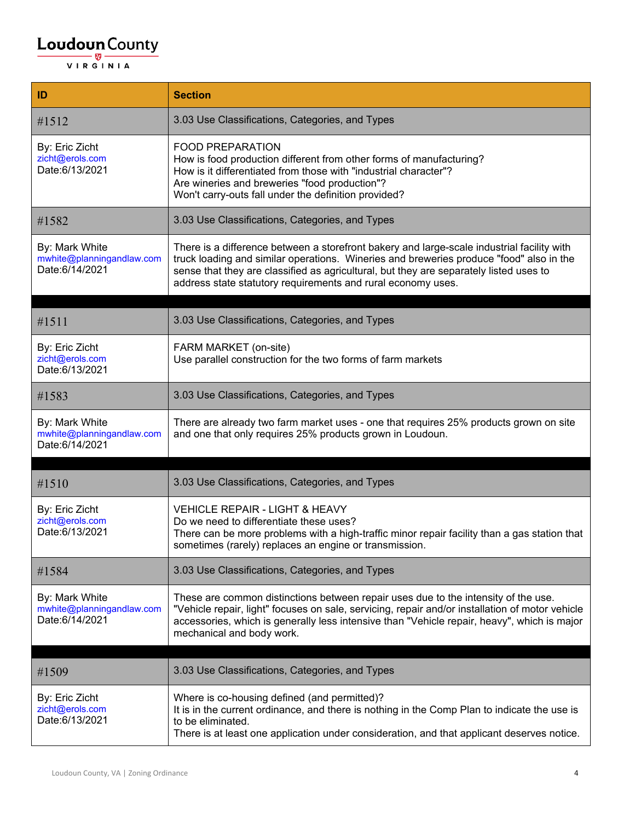| ID                                                            | <b>Section</b>                                                                                                                                                                                                                                                                                                                                  |
|---------------------------------------------------------------|-------------------------------------------------------------------------------------------------------------------------------------------------------------------------------------------------------------------------------------------------------------------------------------------------------------------------------------------------|
| #1512                                                         | 3.03 Use Classifications, Categories, and Types                                                                                                                                                                                                                                                                                                 |
| By: Eric Zicht<br>zicht@erols.com<br>Date:6/13/2021           | <b>FOOD PREPARATION</b><br>How is food production different from other forms of manufacturing?<br>How is it differentiated from those with "industrial character"?<br>Are wineries and breweries "food production"?<br>Won't carry-outs fall under the definition provided?                                                                     |
| #1582                                                         | 3.03 Use Classifications, Categories, and Types                                                                                                                                                                                                                                                                                                 |
| By: Mark White<br>mwhite@planningandlaw.com<br>Date:6/14/2021 | There is a difference between a storefront bakery and large-scale industrial facility with<br>truck loading and similar operations. Wineries and breweries produce "food" also in the<br>sense that they are classified as agricultural, but they are separately listed uses to<br>address state statutory requirements and rural economy uses. |
| #1511                                                         | 3.03 Use Classifications, Categories, and Types                                                                                                                                                                                                                                                                                                 |
| By: Eric Zicht<br>zicht@erols.com<br>Date:6/13/2021           | FARM MARKET (on-site)<br>Use parallel construction for the two forms of farm markets                                                                                                                                                                                                                                                            |
| #1583                                                         | 3.03 Use Classifications, Categories, and Types                                                                                                                                                                                                                                                                                                 |
| By: Mark White<br>mwhite@planningandlaw.com<br>Date:6/14/2021 | There are already two farm market uses - one that requires 25% products grown on site<br>and one that only requires 25% products grown in Loudoun.                                                                                                                                                                                              |
| #1510                                                         | 3.03 Use Classifications, Categories, and Types                                                                                                                                                                                                                                                                                                 |
| By: Eric Zicht<br>zicht@erols.com<br>Date:6/13/2021           | <b>VEHICLE REPAIR - LIGHT &amp; HEAVY</b><br>Do we need to differentiate these uses?<br>There can be more problems with a high-traffic minor repair facility than a gas station that<br>sometimes (rarely) replaces an engine or transmission.                                                                                                  |
| #1584                                                         | 3.03 Use Classifications, Categories, and Types                                                                                                                                                                                                                                                                                                 |
| By: Mark White<br>mwhite@planningandlaw.com<br>Date:6/14/2021 | These are common distinctions between repair uses due to the intensity of the use.<br>"Vehicle repair, light" focuses on sale, servicing, repair and/or installation of motor vehicle<br>accessories, which is generally less intensive than "Vehicle repair, heavy", which is major<br>mechanical and body work.                               |
|                                                               |                                                                                                                                                                                                                                                                                                                                                 |
| #1509                                                         | 3.03 Use Classifications, Categories, and Types                                                                                                                                                                                                                                                                                                 |
| By: Eric Zicht<br>zicht@erols.com<br>Date:6/13/2021           | Where is co-housing defined (and permitted)?<br>It is in the current ordinance, and there is nothing in the Comp Plan to indicate the use is<br>to be eliminated.<br>There is at least one application under consideration, and that applicant deserves notice.                                                                                 |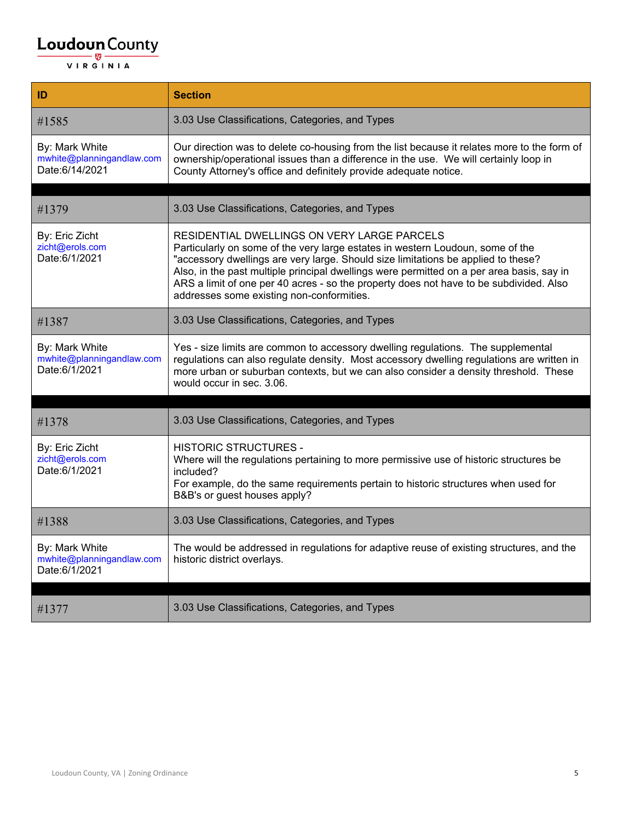| 3.03 Use Classifications, Categories, and Types<br>#1585<br>By: Mark White<br>Our direction was to delete co-housing from the list because it relates more to the form of<br>mwhite@planningandlaw.com<br>ownership/operational issues than a difference in the use. We will certainly loop in<br>Date:6/14/2021<br>County Attorney's office and definitely provide adequate notice.<br>3.03 Use Classifications, Categories, and Types<br>#1379                                                             |  |
|--------------------------------------------------------------------------------------------------------------------------------------------------------------------------------------------------------------------------------------------------------------------------------------------------------------------------------------------------------------------------------------------------------------------------------------------------------------------------------------------------------------|--|
|                                                                                                                                                                                                                                                                                                                                                                                                                                                                                                              |  |
|                                                                                                                                                                                                                                                                                                                                                                                                                                                                                                              |  |
|                                                                                                                                                                                                                                                                                                                                                                                                                                                                                                              |  |
| RESIDENTIAL DWELLINGS ON VERY LARGE PARCELS<br>By: Eric Zicht<br>zicht@erols.com<br>Particularly on some of the very large estates in western Loudoun, some of the<br>Date:6/1/2021<br>"accessory dwellings are very large. Should size limitations be applied to these?<br>Also, in the past multiple principal dwellings were permitted on a per area basis, say in<br>ARS a limit of one per 40 acres - so the property does not have to be subdivided. Also<br>addresses some existing non-conformities. |  |
| 3.03 Use Classifications, Categories, and Types<br>#1387                                                                                                                                                                                                                                                                                                                                                                                                                                                     |  |
| Yes - size limits are common to accessory dwelling regulations. The supplemental<br>By: Mark White<br>mwhite@planningandlaw.com<br>regulations can also regulate density. Most accessory dwelling regulations are written in<br>Date:6/1/2021<br>more urban or suburban contexts, but we can also consider a density threshold. These<br>would occur in sec. 3.06.                                                                                                                                           |  |
|                                                                                                                                                                                                                                                                                                                                                                                                                                                                                                              |  |
| 3.03 Use Classifications, Categories, and Types<br>#1378                                                                                                                                                                                                                                                                                                                                                                                                                                                     |  |
| <b>HISTORIC STRUCTURES -</b><br>By: Eric Zicht<br>zicht@erols.com<br>Where will the regulations pertaining to more permissive use of historic structures be<br>Date: 6/1/2021<br>included?<br>For example, do the same requirements pertain to historic structures when used for<br>B&B's or guest houses apply?                                                                                                                                                                                             |  |
| 3.03 Use Classifications, Categories, and Types<br>#1388                                                                                                                                                                                                                                                                                                                                                                                                                                                     |  |
| By: Mark White<br>The would be addressed in regulations for adaptive reuse of existing structures, and the<br>mwhite@planningandlaw.com<br>historic district overlays.<br>Date:6/1/2021                                                                                                                                                                                                                                                                                                                      |  |
| 3.03 Use Classifications, Categories, and Types<br>#1377                                                                                                                                                                                                                                                                                                                                                                                                                                                     |  |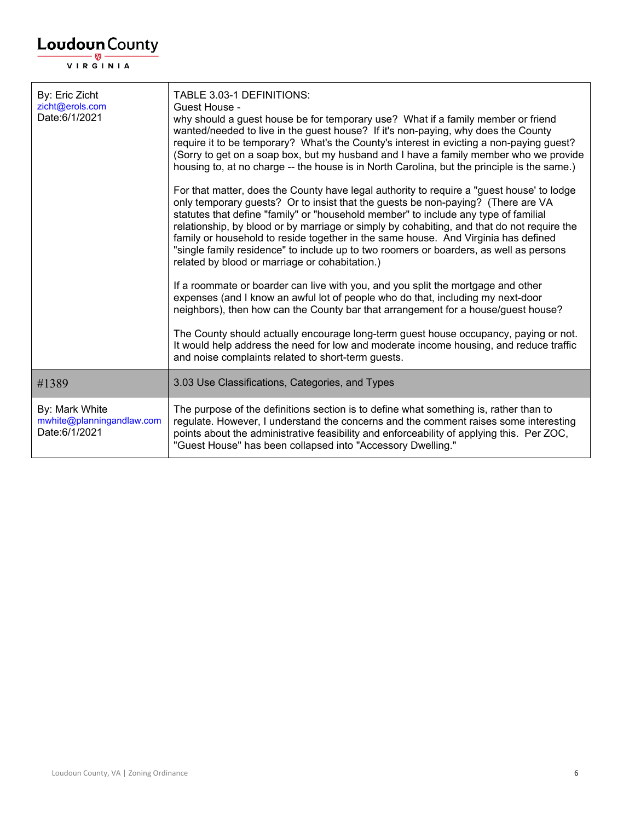| <b>Loudoun</b> County                                        |                                                                                                                                                                                                                                                                                                                                                                                                                                                                                                                                                                                                                                                                                          |
|--------------------------------------------------------------|------------------------------------------------------------------------------------------------------------------------------------------------------------------------------------------------------------------------------------------------------------------------------------------------------------------------------------------------------------------------------------------------------------------------------------------------------------------------------------------------------------------------------------------------------------------------------------------------------------------------------------------------------------------------------------------|
| <b>VIRGINIA</b>                                              |                                                                                                                                                                                                                                                                                                                                                                                                                                                                                                                                                                                                                                                                                          |
| By: Eric Zicht<br>zicht@erols.com<br>Date:6/1/2021           | TABLE 3.03-1 DEFINITIONS:<br>Guest House -<br>why should a guest house be for temporary use? What if a family member or friend<br>wanted/needed to live in the guest house? If it's non-paying, why does the County<br>require it to be temporary? What's the County's interest in evicting a non-paying guest?<br>(Sorry to get on a soap box, but my husband and I have a family member who we provide<br>housing to, at no charge -- the house is in North Carolina, but the principle is the same.)<br>For that matter, does the County have legal authority to require a "guest house' to lodge<br>only temporary guests? Or to insist that the guests be non-paying? (There are VA |
|                                                              | statutes that define "family" or "household member" to include any type of familial<br>relationship, by blood or by marriage or simply by cohabiting, and that do not require the<br>family or household to reside together in the same house. And Virginia has defined<br>"single family residence" to include up to two roomers or boarders, as well as persons<br>related by blood or marriage or cohabitation.)                                                                                                                                                                                                                                                                      |
|                                                              | If a roommate or boarder can live with you, and you split the mortgage and other<br>expenses (and I know an awful lot of people who do that, including my next-door<br>neighbors), then how can the County bar that arrangement for a house/guest house?                                                                                                                                                                                                                                                                                                                                                                                                                                 |
|                                                              | The County should actually encourage long-term guest house occupancy, paying or not.<br>It would help address the need for low and moderate income housing, and reduce traffic<br>and noise complaints related to short-term guests.                                                                                                                                                                                                                                                                                                                                                                                                                                                     |
| #1389                                                        | 3.03 Use Classifications, Categories, and Types                                                                                                                                                                                                                                                                                                                                                                                                                                                                                                                                                                                                                                          |
| By: Mark White<br>mwhite@planningandlaw.com<br>Date:6/1/2021 | The purpose of the definitions section is to define what something is, rather than to<br>regulate. However, I understand the concerns and the comment raises some interesting<br>points about the administrative feasibility and enforceability of applying this. Per ZOC,<br>"Guest House" has been collapsed into "Accessory Dwelling."                                                                                                                                                                                                                                                                                                                                                |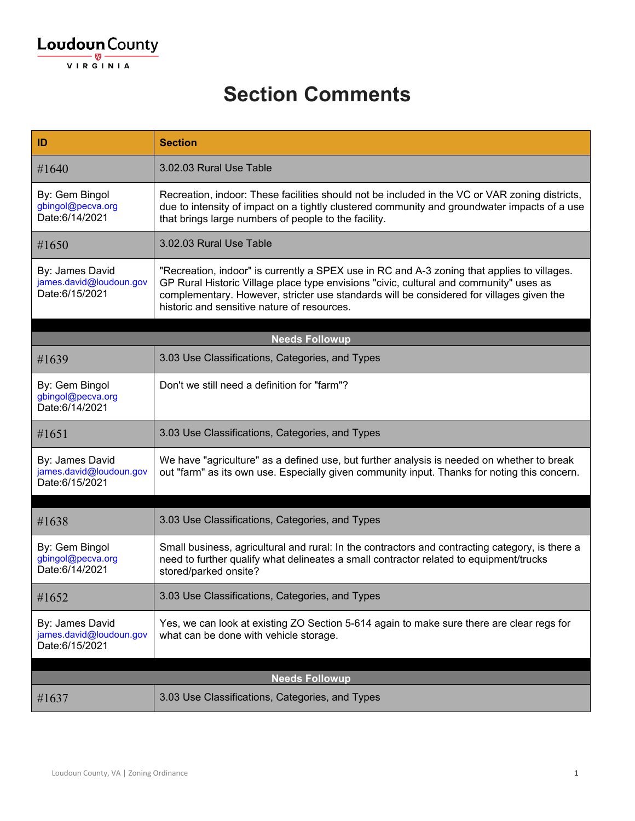| ID                                                           | <b>Section</b>                                                                                                                                                                                                                                                                                                                   |
|--------------------------------------------------------------|----------------------------------------------------------------------------------------------------------------------------------------------------------------------------------------------------------------------------------------------------------------------------------------------------------------------------------|
| #1640                                                        | 3.02.03 Rural Use Table                                                                                                                                                                                                                                                                                                          |
| By: Gem Bingol<br>gbingol@pecva.org<br>Date:6/14/2021        | Recreation, indoor: These facilities should not be included in the VC or VAR zoning districts,<br>due to intensity of impact on a tightly clustered community and groundwater impacts of a use<br>that brings large numbers of people to the facility.                                                                           |
| #1650                                                        | 3.02.03 Rural Use Table                                                                                                                                                                                                                                                                                                          |
| By: James David<br>james.david@loudoun.gov<br>Date:6/15/2021 | "Recreation, indoor" is currently a SPEX use in RC and A-3 zoning that applies to villages.<br>GP Rural Historic Village place type envisions "civic, cultural and community" uses as<br>complementary. However, stricter use standards will be considered for villages given the<br>historic and sensitive nature of resources. |
|                                                              | <b>Needs Followup</b>                                                                                                                                                                                                                                                                                                            |
| #1639                                                        | 3.03 Use Classifications, Categories, and Types                                                                                                                                                                                                                                                                                  |
| By: Gem Bingol<br>gbingol@pecva.org<br>Date:6/14/2021        | Don't we still need a definition for "farm"?                                                                                                                                                                                                                                                                                     |
| #1651                                                        | 3.03 Use Classifications, Categories, and Types                                                                                                                                                                                                                                                                                  |
| By: James David<br>james.david@loudoun.gov<br>Date:6/15/2021 | We have "agriculture" as a defined use, but further analysis is needed on whether to break<br>out "farm" as its own use. Especially given community input. Thanks for noting this concern.                                                                                                                                       |
| #1638                                                        | 3.03 Use Classifications, Categories, and Types                                                                                                                                                                                                                                                                                  |
|                                                              |                                                                                                                                                                                                                                                                                                                                  |
| By: Gem Bingol<br>gbingol@pecva.org<br>Date:6/14/2021        | Small business, agricultural and rural: In the contractors and contracting category, is there a<br>need to further qualify what delineates a small contractor related to equipment/trucks<br>stored/parked onsite?                                                                                                               |
| #1652                                                        | 3.03 Use Classifications, Categories, and Types                                                                                                                                                                                                                                                                                  |
| By: James David<br>james.david@loudoun.gov<br>Date:6/15/2021 | Yes, we can look at existing ZO Section 5-614 again to make sure there are clear regs for<br>what can be done with vehicle storage.                                                                                                                                                                                              |
|                                                              | <b>Needs Followup</b>                                                                                                                                                                                                                                                                                                            |
| #1637                                                        | 3.03 Use Classifications, Categories, and Types                                                                                                                                                                                                                                                                                  |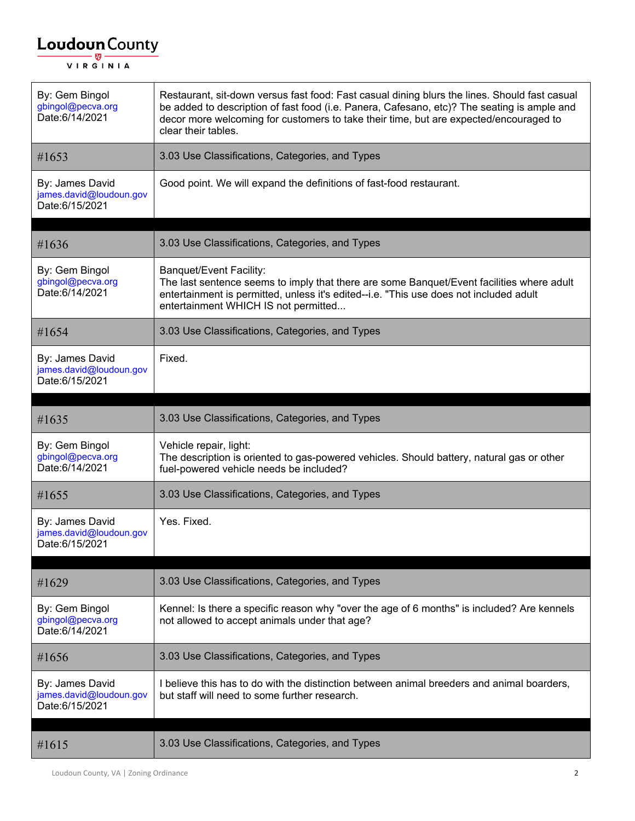| By: Gem Bingol<br>gbingol@pecva.org<br>Date:6/14/2021        | Restaurant, sit-down versus fast food: Fast casual dining blurs the lines. Should fast casual<br>be added to description of fast food (i.e. Panera, Cafesano, etc)? The seating is ample and<br>decor more welcoming for customers to take their time, but are expected/encouraged to<br>clear their tables. |
|--------------------------------------------------------------|--------------------------------------------------------------------------------------------------------------------------------------------------------------------------------------------------------------------------------------------------------------------------------------------------------------|
| #1653                                                        | 3.03 Use Classifications, Categories, and Types                                                                                                                                                                                                                                                              |
| By: James David<br>james.david@loudoun.gov<br>Date:6/15/2021 | Good point. We will expand the definitions of fast-food restaurant.                                                                                                                                                                                                                                          |
| #1636                                                        | 3.03 Use Classifications, Categories, and Types                                                                                                                                                                                                                                                              |
| By: Gem Bingol<br>gbingol@pecva.org<br>Date:6/14/2021        | <b>Banquet/Event Facility:</b><br>The last sentence seems to imply that there are some Banquet/Event facilities where adult<br>entertainment is permitted, unless it's edited--i.e. "This use does not included adult<br>entertainment WHICH IS not permitted                                                |
| #1654                                                        | 3.03 Use Classifications, Categories, and Types                                                                                                                                                                                                                                                              |
| By: James David<br>james.david@loudoun.gov<br>Date:6/15/2021 | Fixed.                                                                                                                                                                                                                                                                                                       |
| #1635                                                        | 3.03 Use Classifications, Categories, and Types                                                                                                                                                                                                                                                              |
| By: Gem Bingol<br>gbingol@pecva.org<br>Date:6/14/2021        | Vehicle repair, light:<br>The description is oriented to gas-powered vehicles. Should battery, natural gas or other<br>fuel-powered vehicle needs be included?                                                                                                                                               |
| #1655                                                        | 3.03 Use Classifications, Categories, and Types                                                                                                                                                                                                                                                              |
| By: James David<br>james.david@loudoun.gov<br>Date:6/15/2021 | Yes. Fixed.                                                                                                                                                                                                                                                                                                  |
| #1629                                                        | 3.03 Use Classifications, Categories, and Types                                                                                                                                                                                                                                                              |
| By: Gem Bingol<br>gbingol@pecva.org<br>Date:6/14/2021        | Kennel: Is there a specific reason why "over the age of 6 months" is included? Are kennels<br>not allowed to accept animals under that age?                                                                                                                                                                  |
| #1656                                                        | 3.03 Use Classifications, Categories, and Types                                                                                                                                                                                                                                                              |
| By: James David<br>james.david@loudoun.gov<br>Date:6/15/2021 | I believe this has to do with the distinction between animal breeders and animal boarders,<br>but staff will need to some further research.                                                                                                                                                                  |
| #1615                                                        | 3.03 Use Classifications, Categories, and Types                                                                                                                                                                                                                                                              |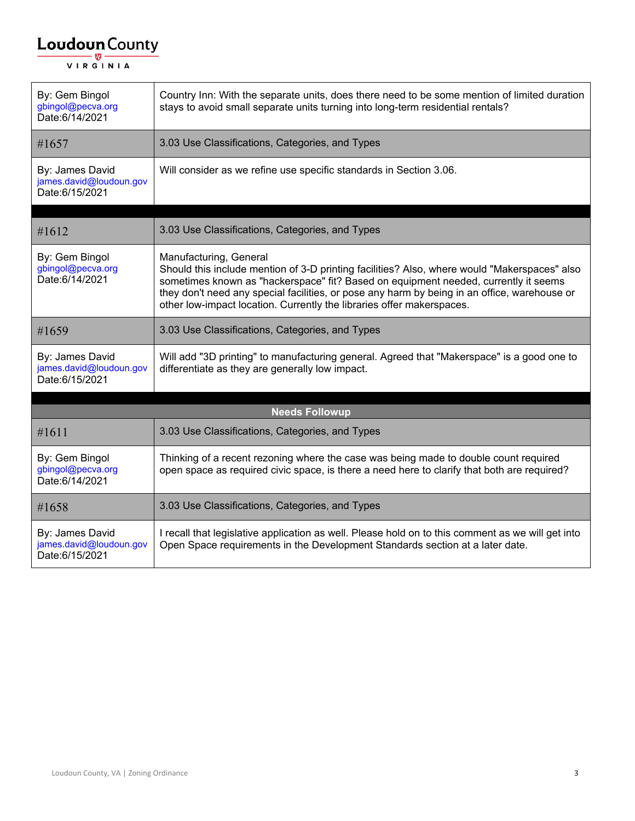| By: Gem Bingol<br>gbingol@pecva.org<br>Date:6/14/2021        | Country Inn: With the separate units, does there need to be some mention of limited duration<br>stays to avoid small separate units turning into long-term residential rentals?                                                                                                                                                                                                        |  |
|--------------------------------------------------------------|----------------------------------------------------------------------------------------------------------------------------------------------------------------------------------------------------------------------------------------------------------------------------------------------------------------------------------------------------------------------------------------|--|
| #1657                                                        | 3.03 Use Classifications, Categories, and Types                                                                                                                                                                                                                                                                                                                                        |  |
| By: James David<br>james.david@loudoun.gov<br>Date:6/15/2021 | Will consider as we refine use specific standards in Section 3.06.                                                                                                                                                                                                                                                                                                                     |  |
| #1612                                                        | 3.03 Use Classifications, Categories, and Types                                                                                                                                                                                                                                                                                                                                        |  |
| By: Gem Bingol<br>gbingol@pecva.org<br>Date:6/14/2021        | Manufacturing, General<br>Should this include mention of 3-D printing facilities? Also, where would "Makerspaces" also<br>sometimes known as "hackerspace" fit? Based on equipment needed, currently it seems<br>they don't need any special facilities, or pose any harm by being in an office, warehouse or<br>other low-impact location. Currently the libraries offer makerspaces. |  |
| #1659                                                        | 3.03 Use Classifications, Categories, and Types                                                                                                                                                                                                                                                                                                                                        |  |
| By: James David<br>james.david@loudoun.gov<br>Date:6/15/2021 | Will add "3D printing" to manufacturing general. Agreed that "Makerspace" is a good one to<br>differentiate as they are generally low impact.                                                                                                                                                                                                                                          |  |
| <b>Needs Followup</b>                                        |                                                                                                                                                                                                                                                                                                                                                                                        |  |
| #1611                                                        | 3.03 Use Classifications, Categories, and Types                                                                                                                                                                                                                                                                                                                                        |  |
| By: Gem Bingol<br>gbingol@pecva.org<br>Date:6/14/2021        | Thinking of a recent rezoning where the case was being made to double count required<br>open space as required civic space, is there a need here to clarify that both are required?                                                                                                                                                                                                    |  |
| #1658                                                        | 3.03 Use Classifications, Categories, and Types                                                                                                                                                                                                                                                                                                                                        |  |
| By: James David<br>james.david@loudoun.gov<br>Date:6/15/2021 | I recall that legislative application as well. Please hold on to this comment as we will get into<br>Open Space requirements in the Development Standards section at a later date.                                                                                                                                                                                                     |  |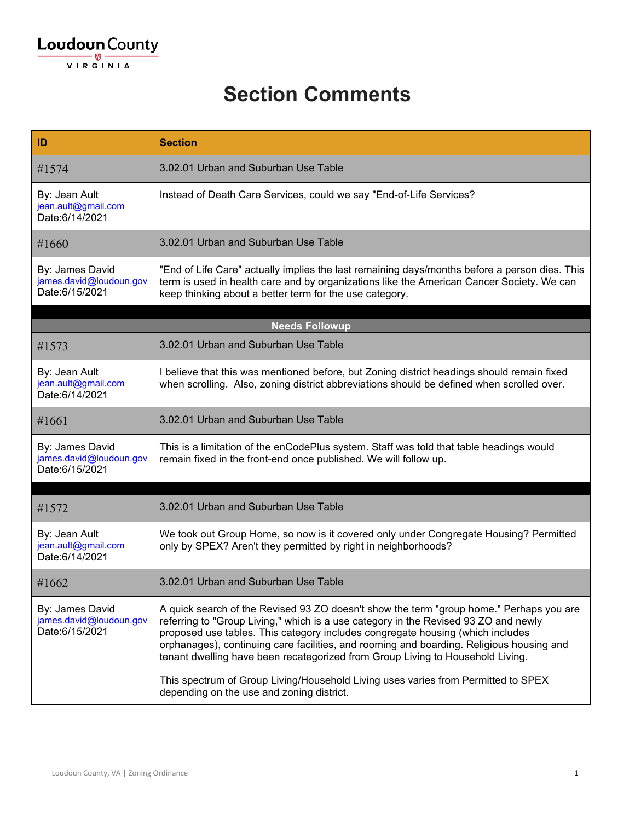| ID                                                           | <b>Section</b>                                                                                                                                                                                                                                                                                                                                                                                                                                                                                                                                                                   |
|--------------------------------------------------------------|----------------------------------------------------------------------------------------------------------------------------------------------------------------------------------------------------------------------------------------------------------------------------------------------------------------------------------------------------------------------------------------------------------------------------------------------------------------------------------------------------------------------------------------------------------------------------------|
| #1574                                                        | 3.02.01 Urban and Suburban Use Table                                                                                                                                                                                                                                                                                                                                                                                                                                                                                                                                             |
| By: Jean Ault<br>jean.ault@gmail.com<br>Date:6/14/2021       | Instead of Death Care Services, could we say "End-of-Life Services?                                                                                                                                                                                                                                                                                                                                                                                                                                                                                                              |
| #1660                                                        | 3.02.01 Urban and Suburban Use Table                                                                                                                                                                                                                                                                                                                                                                                                                                                                                                                                             |
| By: James David<br>james.david@loudoun.gov<br>Date:6/15/2021 | "End of Life Care" actually implies the last remaining days/months before a person dies. This<br>term is used in health care and by organizations like the American Cancer Society. We can<br>keep thinking about a better term for the use category.                                                                                                                                                                                                                                                                                                                            |
|                                                              | <b>Needs Followup</b>                                                                                                                                                                                                                                                                                                                                                                                                                                                                                                                                                            |
| #1573                                                        | 3.02.01 Urban and Suburban Use Table                                                                                                                                                                                                                                                                                                                                                                                                                                                                                                                                             |
| By: Jean Ault<br>jean.ault@gmail.com<br>Date:6/14/2021       | I believe that this was mentioned before, but Zoning district headings should remain fixed<br>when scrolling. Also, zoning district abbreviations should be defined when scrolled over.                                                                                                                                                                                                                                                                                                                                                                                          |
| #1661                                                        | 3.02.01 Urban and Suburban Use Table                                                                                                                                                                                                                                                                                                                                                                                                                                                                                                                                             |
| By: James David<br>james.david@loudoun.gov<br>Date:6/15/2021 | This is a limitation of the enCodePlus system. Staff was told that table headings would<br>remain fixed in the front-end once published. We will follow up.                                                                                                                                                                                                                                                                                                                                                                                                                      |
| #1572                                                        | 3.02.01 Urban and Suburban Use Table                                                                                                                                                                                                                                                                                                                                                                                                                                                                                                                                             |
| By: Jean Ault<br>jean.ault@gmail.com<br>Date:6/14/2021       | We took out Group Home, so now is it covered only under Congregate Housing? Permitted<br>only by SPEX? Aren't they permitted by right in neighborhoods?                                                                                                                                                                                                                                                                                                                                                                                                                          |
| #1662                                                        | 3.02.01 Urban and Suburban Use Table                                                                                                                                                                                                                                                                                                                                                                                                                                                                                                                                             |
| By: James David<br>james.david@loudoun.gov<br>Date:6/15/2021 | A quick search of the Revised 93 ZO doesn't show the term "group home." Perhaps you are<br>referring to "Group Living," which is a use category in the Revised 93 ZO and newly<br>proposed use tables. This category includes congregate housing (which includes<br>orphanages), continuing care facilities, and rooming and boarding. Religious housing and<br>tenant dwelling have been recategorized from Group Living to Household Living.<br>This spectrum of Group Living/Household Living uses varies from Permitted to SPEX<br>depending on the use and zoning district. |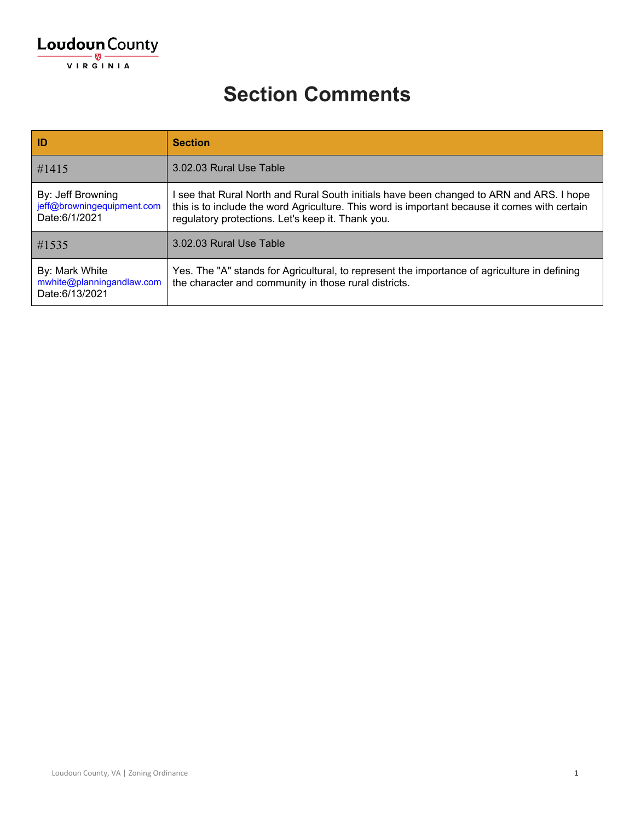| ID                                                               | <b>Section</b>                                                                                                                                                                                                                                 |
|------------------------------------------------------------------|------------------------------------------------------------------------------------------------------------------------------------------------------------------------------------------------------------------------------------------------|
| $\#1415$                                                         | 3.02.03 Rural Use Table                                                                                                                                                                                                                        |
| By: Jeff Browning<br>jeff@browningequipment.com<br>Date:6/1/2021 | l see that Rural North and Rural South initials have been changed to ARN and ARS. I hope<br>this is to include the word Agriculture. This word is important because it comes with certain<br>regulatory protections. Let's keep it. Thank you. |
| #1535                                                            | 3.02.03 Rural Use Table                                                                                                                                                                                                                        |
| By: Mark White<br>mwhite@planningandlaw.com<br>Date:6/13/2021    | Yes. The "A" stands for Agricultural, to represent the importance of agriculture in defining<br>the character and community in those rural districts.                                                                                          |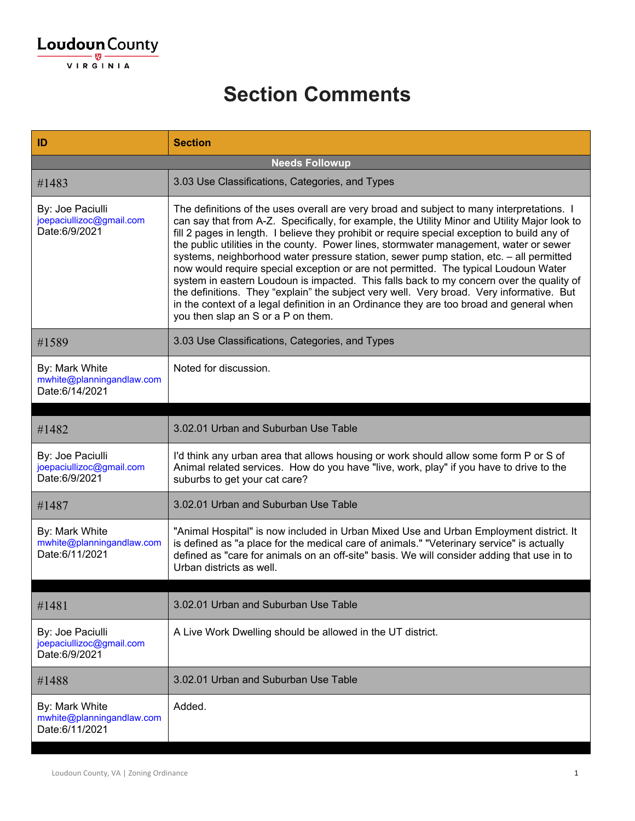| ID                                                            | <b>Section</b>                                                                                                                                                                                                                                                                                                                                                                                                                                                                                                                                                                                                                                                                                                                                                                                                                                                                                  |
|---------------------------------------------------------------|-------------------------------------------------------------------------------------------------------------------------------------------------------------------------------------------------------------------------------------------------------------------------------------------------------------------------------------------------------------------------------------------------------------------------------------------------------------------------------------------------------------------------------------------------------------------------------------------------------------------------------------------------------------------------------------------------------------------------------------------------------------------------------------------------------------------------------------------------------------------------------------------------|
|                                                               | <b>Needs Followup</b>                                                                                                                                                                                                                                                                                                                                                                                                                                                                                                                                                                                                                                                                                                                                                                                                                                                                           |
| #1483                                                         | 3.03 Use Classifications, Categories, and Types                                                                                                                                                                                                                                                                                                                                                                                                                                                                                                                                                                                                                                                                                                                                                                                                                                                 |
| By: Joe Paciulli<br>joepaciullizoc@gmail.com<br>Date:6/9/2021 | The definitions of the uses overall are very broad and subject to many interpretations. I<br>can say that from A-Z. Specifically, for example, the Utility Minor and Utility Major look to<br>fill 2 pages in length. I believe they prohibit or require special exception to build any of<br>the public utilities in the county. Power lines, stormwater management, water or sewer<br>systems, neighborhood water pressure station, sewer pump station, etc. - all permitted<br>now would require special exception or are not permitted. The typical Loudoun Water<br>system in eastern Loudoun is impacted. This falls back to my concern over the quality of<br>the definitions. They "explain" the subject very well. Very broad. Very informative. But<br>in the context of a legal definition in an Ordinance they are too broad and general when<br>you then slap an S or a P on them. |
| #1589                                                         | 3.03 Use Classifications, Categories, and Types                                                                                                                                                                                                                                                                                                                                                                                                                                                                                                                                                                                                                                                                                                                                                                                                                                                 |
| By: Mark White<br>mwhite@planningandlaw.com<br>Date:6/14/2021 | Noted for discussion.                                                                                                                                                                                                                                                                                                                                                                                                                                                                                                                                                                                                                                                                                                                                                                                                                                                                           |
|                                                               |                                                                                                                                                                                                                                                                                                                                                                                                                                                                                                                                                                                                                                                                                                                                                                                                                                                                                                 |
| #1482                                                         | 3.02.01 Urban and Suburban Use Table                                                                                                                                                                                                                                                                                                                                                                                                                                                                                                                                                                                                                                                                                                                                                                                                                                                            |
| By: Joe Paciulli<br>joepaciullizoc@gmail.com<br>Date:6/9/2021 | I'd think any urban area that allows housing or work should allow some form P or S of<br>Animal related services. How do you have "live, work, play" if you have to drive to the<br>suburbs to get your cat care?                                                                                                                                                                                                                                                                                                                                                                                                                                                                                                                                                                                                                                                                               |
| #1487                                                         | 3.02.01 Urban and Suburban Use Table                                                                                                                                                                                                                                                                                                                                                                                                                                                                                                                                                                                                                                                                                                                                                                                                                                                            |
| By: Mark White<br>mwhite@planningandlaw.com<br>Date:6/11/2021 | "Animal Hospital" is now included in Urban Mixed Use and Urban Employment district. It<br>is defined as "a place for the medical care of animals." "Veterinary service" is actually<br>defined as "care for animals on an off-site" basis. We will consider adding that use in to<br>Urban districts as well.                                                                                                                                                                                                                                                                                                                                                                                                                                                                                                                                                                                   |
| #1481                                                         | 3.02.01 Urban and Suburban Use Table                                                                                                                                                                                                                                                                                                                                                                                                                                                                                                                                                                                                                                                                                                                                                                                                                                                            |
| By: Joe Paciulli<br>joepaciullizoc@gmail.com<br>Date:6/9/2021 | A Live Work Dwelling should be allowed in the UT district.                                                                                                                                                                                                                                                                                                                                                                                                                                                                                                                                                                                                                                                                                                                                                                                                                                      |
| #1488                                                         | 3.02.01 Urban and Suburban Use Table                                                                                                                                                                                                                                                                                                                                                                                                                                                                                                                                                                                                                                                                                                                                                                                                                                                            |
| By: Mark White<br>mwhite@planningandlaw.com<br>Date:6/11/2021 | Added.                                                                                                                                                                                                                                                                                                                                                                                                                                                                                                                                                                                                                                                                                                                                                                                                                                                                                          |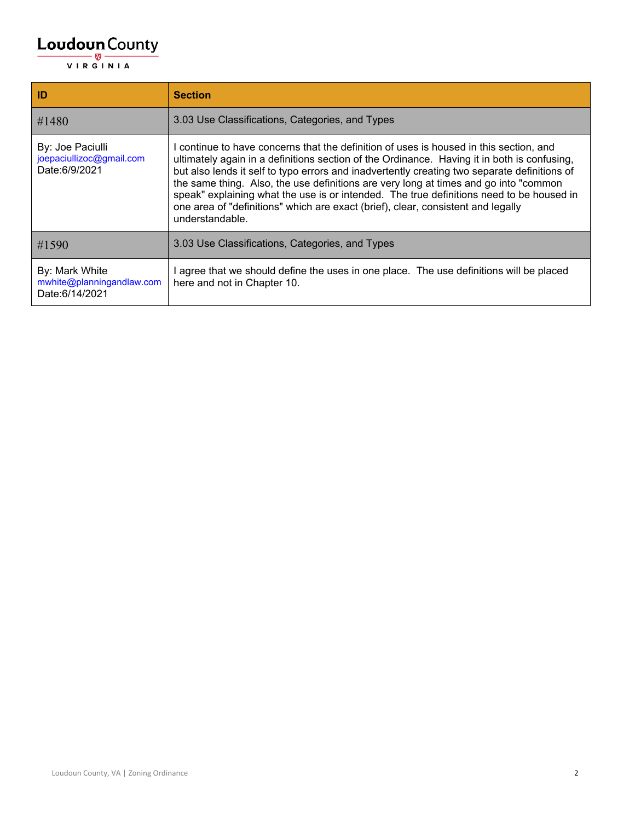| ID                                                            | <b>Section</b>                                                                                                                                                                                                                                                                                                                                                                                                                                                                                                                                                                 |
|---------------------------------------------------------------|--------------------------------------------------------------------------------------------------------------------------------------------------------------------------------------------------------------------------------------------------------------------------------------------------------------------------------------------------------------------------------------------------------------------------------------------------------------------------------------------------------------------------------------------------------------------------------|
| #1480                                                         | 3.03 Use Classifications, Categories, and Types                                                                                                                                                                                                                                                                                                                                                                                                                                                                                                                                |
| By: Joe Paciulli<br>joepaciullizoc@gmail.com<br>Date:6/9/2021 | continue to have concerns that the definition of uses is housed in this section, and<br>ultimately again in a definitions section of the Ordinance. Having it in both is confusing,<br>but also lends it self to typo errors and inadvertently creating two separate definitions of<br>the same thing. Also, the use definitions are very long at times and go into "common<br>speak" explaining what the use is or intended. The true definitions need to be housed in<br>one area of "definitions" which are exact (brief), clear, consistent and legally<br>understandable. |
| #1590                                                         | 3.03 Use Classifications, Categories, and Types                                                                                                                                                                                                                                                                                                                                                                                                                                                                                                                                |
| By: Mark White<br>mwhite@planningandlaw.com<br>Date:6/14/2021 | agree that we should define the uses in one place. The use definitions will be placed<br>here and not in Chapter 10.                                                                                                                                                                                                                                                                                                                                                                                                                                                           |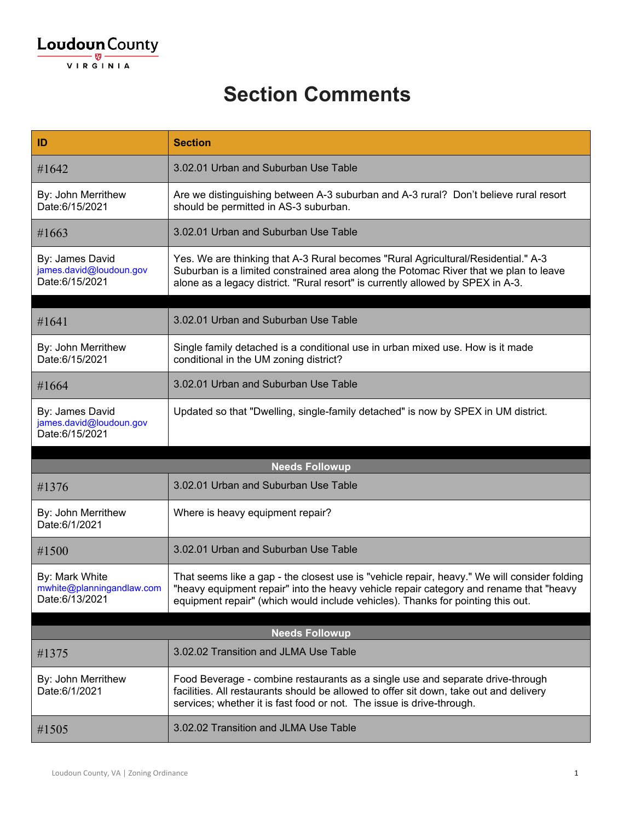| ID                                                            | <b>Section</b>                                                                                                                                                                                                                                                            |
|---------------------------------------------------------------|---------------------------------------------------------------------------------------------------------------------------------------------------------------------------------------------------------------------------------------------------------------------------|
| #1642                                                         | 3.02.01 Urban and Suburban Use Table                                                                                                                                                                                                                                      |
| By: John Merrithew<br>Date:6/15/2021                          | Are we distinguishing between A-3 suburban and A-3 rural? Don't believe rural resort<br>should be permitted in AS-3 suburban.                                                                                                                                             |
| #1663                                                         | 3.02.01 Urban and Suburban Use Table                                                                                                                                                                                                                                      |
| By: James David<br>james.david@loudoun.gov<br>Date:6/15/2021  | Yes. We are thinking that A-3 Rural becomes "Rural Agricultural/Residential." A-3<br>Suburban is a limited constrained area along the Potomac River that we plan to leave<br>alone as a legacy district. "Rural resort" is currently allowed by SPEX in A-3.              |
| #1641                                                         | 3.02.01 Urban and Suburban Use Table                                                                                                                                                                                                                                      |
| By: John Merrithew<br>Date:6/15/2021                          | Single family detached is a conditional use in urban mixed use. How is it made<br>conditional in the UM zoning district?                                                                                                                                                  |
| #1664                                                         | 3.02.01 Urban and Suburban Use Table                                                                                                                                                                                                                                      |
| By: James David<br>james.david@loudoun.gov<br>Date:6/15/2021  | Updated so that "Dwelling, single-family detached" is now by SPEX in UM district.                                                                                                                                                                                         |
|                                                               | <b>Needs Followup</b>                                                                                                                                                                                                                                                     |
| #1376                                                         | 3.02.01 Urban and Suburban Use Table                                                                                                                                                                                                                                      |
| By: John Merrithew<br>Date:6/1/2021                           | Where is heavy equipment repair?                                                                                                                                                                                                                                          |
| #1500                                                         | 3.02.01 Urban and Suburban Use Table                                                                                                                                                                                                                                      |
| By: Mark White<br>mwhite@planningandlaw.com<br>Date:6/13/2021 | That seems like a gap - the closest use is "vehicle repair, heavy." We will consider folding<br>"heavy equipment repair" into the heavy vehicle repair category and rename that "heavy<br>equipment repair" (which would include vehicles). Thanks for pointing this out. |
|                                                               | <b>Needs Followup</b>                                                                                                                                                                                                                                                     |
| #1375                                                         | 3.02.02 Transition and JLMA Use Table                                                                                                                                                                                                                                     |
| By: John Merrithew<br>Date:6/1/2021                           | Food Beverage - combine restaurants as a single use and separate drive-through<br>facilities. All restaurants should be allowed to offer sit down, take out and delivery<br>services; whether it is fast food or not. The issue is drive-through.                         |
| #1505                                                         | 3.02.02 Transition and JLMA Use Table                                                                                                                                                                                                                                     |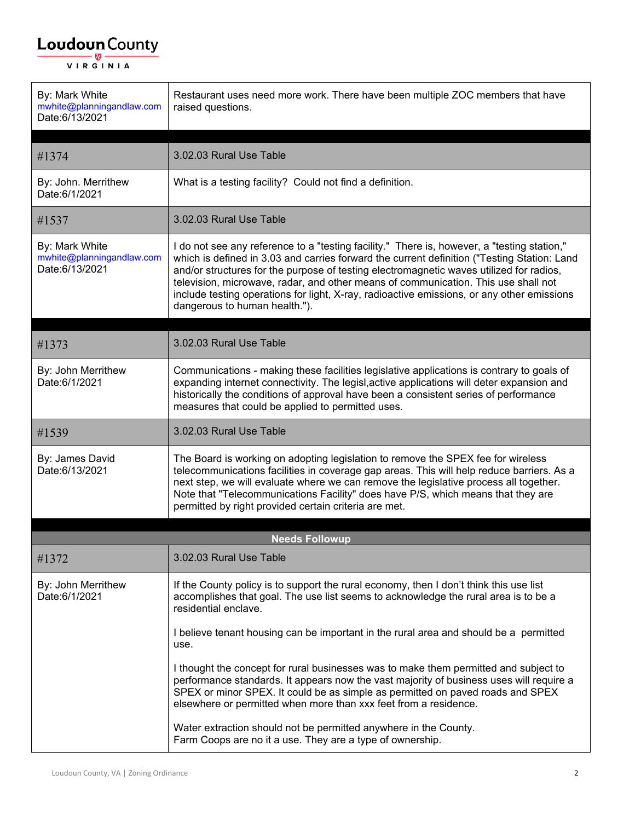| By: Mark White<br>mwhite@planningandlaw.com<br>Date:6/13/2021 | Restaurant uses need more work. There have been multiple ZOC members that have<br>raised questions.                                                                                                                                                                                                                                                                                                                                                                                                        |
|---------------------------------------------------------------|------------------------------------------------------------------------------------------------------------------------------------------------------------------------------------------------------------------------------------------------------------------------------------------------------------------------------------------------------------------------------------------------------------------------------------------------------------------------------------------------------------|
| #1374                                                         | 3.02.03 Rural Use Table                                                                                                                                                                                                                                                                                                                                                                                                                                                                                    |
| By: John. Merrithew<br>Date:6/1/2021                          | What is a testing facility? Could not find a definition.                                                                                                                                                                                                                                                                                                                                                                                                                                                   |
| #1537                                                         | 3.02.03 Rural Use Table                                                                                                                                                                                                                                                                                                                                                                                                                                                                                    |
| By: Mark White<br>mwhite@planningandlaw.com<br>Date:6/13/2021 | I do not see any reference to a "testing facility." There is, however, a "testing station,"<br>which is defined in 3.03 and carries forward the current definition ("Testing Station: Land<br>and/or structures for the purpose of testing electromagnetic waves utilized for radios,<br>television, microwave, radar, and other means of communication. This use shall not<br>include testing operations for light, X-ray, radioactive emissions, or any other emissions<br>dangerous to human health."). |
|                                                               |                                                                                                                                                                                                                                                                                                                                                                                                                                                                                                            |
| #1373                                                         | 3.02.03 Rural Use Table                                                                                                                                                                                                                                                                                                                                                                                                                                                                                    |
| By: John Merrithew<br>Date:6/1/2021                           | Communications - making these facilities legislative applications is contrary to goals of<br>expanding internet connectivity. The legisl, active applications will deter expansion and<br>historically the conditions of approval have been a consistent series of performance<br>measures that could be applied to permitted uses.                                                                                                                                                                        |
| #1539                                                         | 3.02.03 Rural Use Table                                                                                                                                                                                                                                                                                                                                                                                                                                                                                    |
| By: James David<br>Date:6/13/2021                             | The Board is working on adopting legislation to remove the SPEX fee for wireless<br>telecommunications facilities in coverage gap areas. This will help reduce barriers. As a<br>next step, we will evaluate where we can remove the legislative process all together.<br>Note that "Telecommunications Facility" does have P/S, which means that they are<br>permitted by right provided certain criteria are met.                                                                                        |
|                                                               | <b>Needs Followup</b>                                                                                                                                                                                                                                                                                                                                                                                                                                                                                      |
| #1372                                                         | 3.02.03 Rural Use Table                                                                                                                                                                                                                                                                                                                                                                                                                                                                                    |
| By: John Merrithew<br>Date:6/1/2021                           | If the County policy is to support the rural economy, then I don't think this use list<br>accomplishes that goal. The use list seems to acknowledge the rural area is to be a<br>residential enclave.                                                                                                                                                                                                                                                                                                      |
|                                                               | I believe tenant housing can be important in the rural area and should be a permitted<br>use.                                                                                                                                                                                                                                                                                                                                                                                                              |
|                                                               | I thought the concept for rural businesses was to make them permitted and subject to<br>performance standards. It appears now the vast majority of business uses will require a<br>SPEX or minor SPEX. It could be as simple as permitted on paved roads and SPEX<br>elsewhere or permitted when more than xxx feet from a residence.                                                                                                                                                                      |
|                                                               | Water extraction should not be permitted anywhere in the County.<br>Farm Coops are no it a use. They are a type of ownership.                                                                                                                                                                                                                                                                                                                                                                              |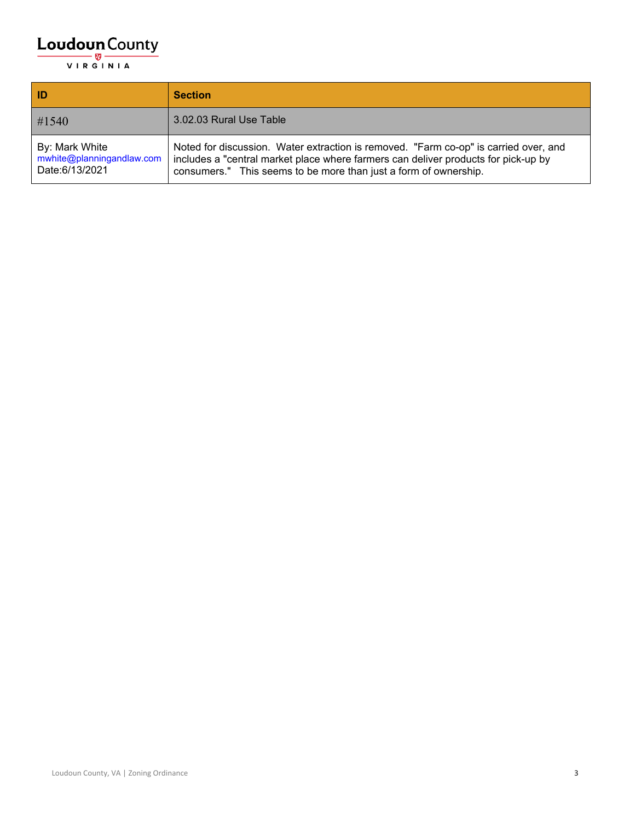| ID                                                            | <b>Section</b>                                                                                                                                                                                                                                 |
|---------------------------------------------------------------|------------------------------------------------------------------------------------------------------------------------------------------------------------------------------------------------------------------------------------------------|
| #1540                                                         | 3.02.03 Rural Use Table                                                                                                                                                                                                                        |
| By: Mark White<br>mwhite@planningandlaw.com<br>Date:6/13/2021 | Noted for discussion. Water extraction is removed. "Farm co-op" is carried over, and<br>includes a "central market place where farmers can deliver products for pick-up by<br>consumers." This seems to be more than just a form of ownership. |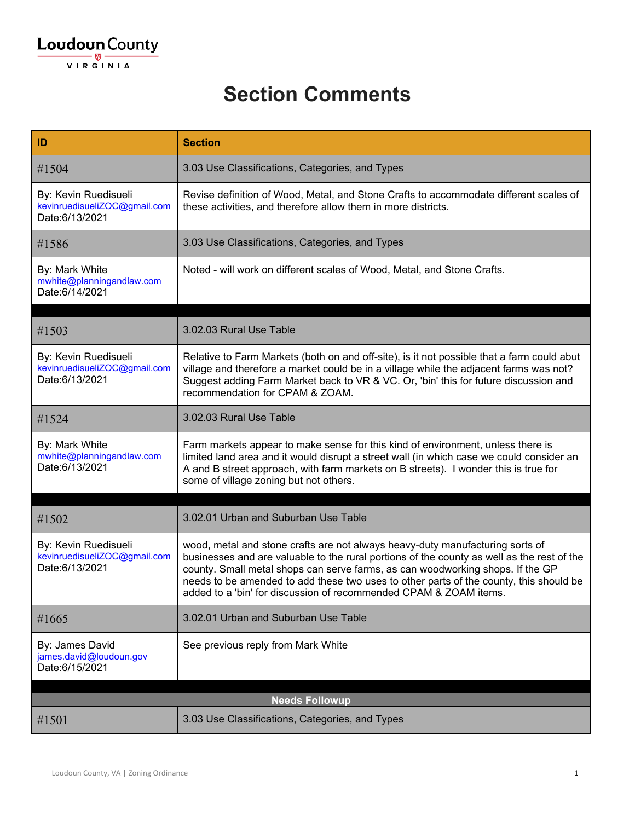| ID                                                                     | <b>Section</b>                                                                                                                                                                                                                                                                                                                                                                                                               |
|------------------------------------------------------------------------|------------------------------------------------------------------------------------------------------------------------------------------------------------------------------------------------------------------------------------------------------------------------------------------------------------------------------------------------------------------------------------------------------------------------------|
| #1504                                                                  | 3.03 Use Classifications, Categories, and Types                                                                                                                                                                                                                                                                                                                                                                              |
| By: Kevin Ruedisueli<br>kevinruedisueliZOC@gmail.com<br>Date:6/13/2021 | Revise definition of Wood, Metal, and Stone Crafts to accommodate different scales of<br>these activities, and therefore allow them in more districts.                                                                                                                                                                                                                                                                       |
| #1586                                                                  | 3.03 Use Classifications, Categories, and Types                                                                                                                                                                                                                                                                                                                                                                              |
| By: Mark White<br>mwhite@planningandlaw.com<br>Date:6/14/2021          | Noted - will work on different scales of Wood, Metal, and Stone Crafts.                                                                                                                                                                                                                                                                                                                                                      |
| #1503                                                                  | 3.02.03 Rural Use Table                                                                                                                                                                                                                                                                                                                                                                                                      |
| By: Kevin Ruedisueli<br>kevinruedisueliZOC@gmail.com<br>Date:6/13/2021 | Relative to Farm Markets (both on and off-site), is it not possible that a farm could abut<br>village and therefore a market could be in a village while the adjacent farms was not?<br>Suggest adding Farm Market back to VR & VC. Or, 'bin' this for future discussion and<br>recommendation for CPAM & ZOAM.                                                                                                              |
| #1524                                                                  | 3.02.03 Rural Use Table                                                                                                                                                                                                                                                                                                                                                                                                      |
| By: Mark White<br>mwhite@planningandlaw.com<br>Date:6/13/2021          | Farm markets appear to make sense for this kind of environment, unless there is<br>limited land area and it would disrupt a street wall (in which case we could consider an<br>A and B street approach, with farm markets on B streets). I wonder this is true for<br>some of village zoning but not others.                                                                                                                 |
|                                                                        |                                                                                                                                                                                                                                                                                                                                                                                                                              |
| #1502                                                                  | 3.02.01 Urban and Suburban Use Table                                                                                                                                                                                                                                                                                                                                                                                         |
| By: Kevin Ruedisueli<br>kevinruedisueliZOC@gmail.com<br>Date:6/13/2021 | wood, metal and stone crafts are not always heavy-duty manufacturing sorts of<br>businesses and are valuable to the rural portions of the county as well as the rest of the<br>county. Small metal shops can serve farms, as can woodworking shops. If the GP<br>needs to be amended to add these two uses to other parts of the county, this should be<br>added to a 'bin' for discussion of recommended CPAM & ZOAM items. |
| #1665                                                                  | 3.02.01 Urban and Suburban Use Table                                                                                                                                                                                                                                                                                                                                                                                         |
| By: James David<br>james.david@loudoun.gov<br>Date: 6/15/2021          | See previous reply from Mark White                                                                                                                                                                                                                                                                                                                                                                                           |
|                                                                        | <b>Needs Followup</b>                                                                                                                                                                                                                                                                                                                                                                                                        |
| #1501                                                                  | 3.03 Use Classifications, Categories, and Types                                                                                                                                                                                                                                                                                                                                                                              |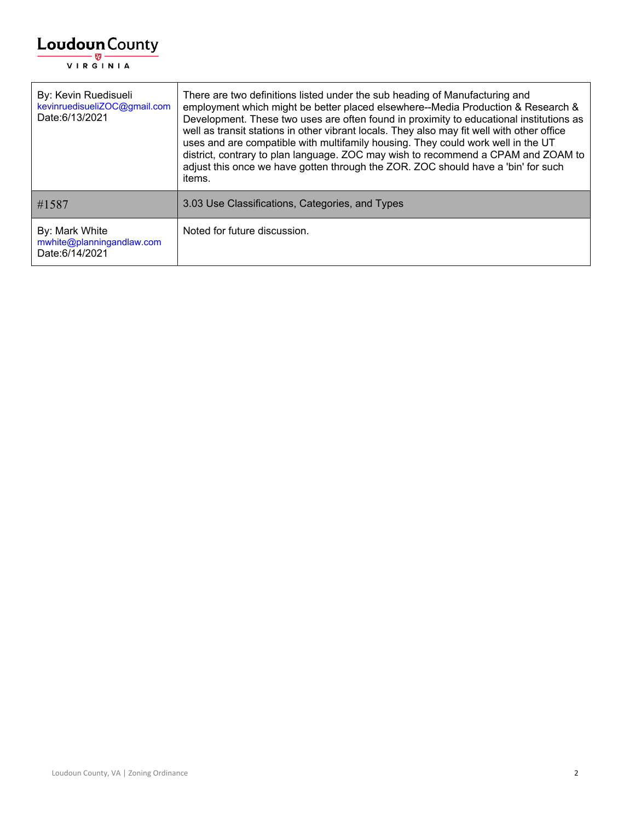

| By: Kevin Ruedisueli<br>kevinruedisueliZOC@gmail.com<br>Date:6/13/2021 | There are two definitions listed under the sub heading of Manufacturing and<br>employment which might be better placed elsewhere--Media Production & Research &<br>Development. These two uses are often found in proximity to educational institutions as<br>well as transit stations in other vibrant locals. They also may fit well with other office<br>uses and are compatible with multifamily housing. They could work well in the UT<br>district, contrary to plan language. ZOC may wish to recommend a CPAM and ZOAM to<br>adjust this once we have gotten through the ZOR. ZOC should have a 'bin' for such<br>items. |
|------------------------------------------------------------------------|----------------------------------------------------------------------------------------------------------------------------------------------------------------------------------------------------------------------------------------------------------------------------------------------------------------------------------------------------------------------------------------------------------------------------------------------------------------------------------------------------------------------------------------------------------------------------------------------------------------------------------|
| #1587                                                                  | 3.03 Use Classifications, Categories, and Types                                                                                                                                                                                                                                                                                                                                                                                                                                                                                                                                                                                  |
| By: Mark White<br>mwhite@planningandlaw.com<br>Date:6/14/2021          | Noted for future discussion.                                                                                                                                                                                                                                                                                                                                                                                                                                                                                                                                                                                                     |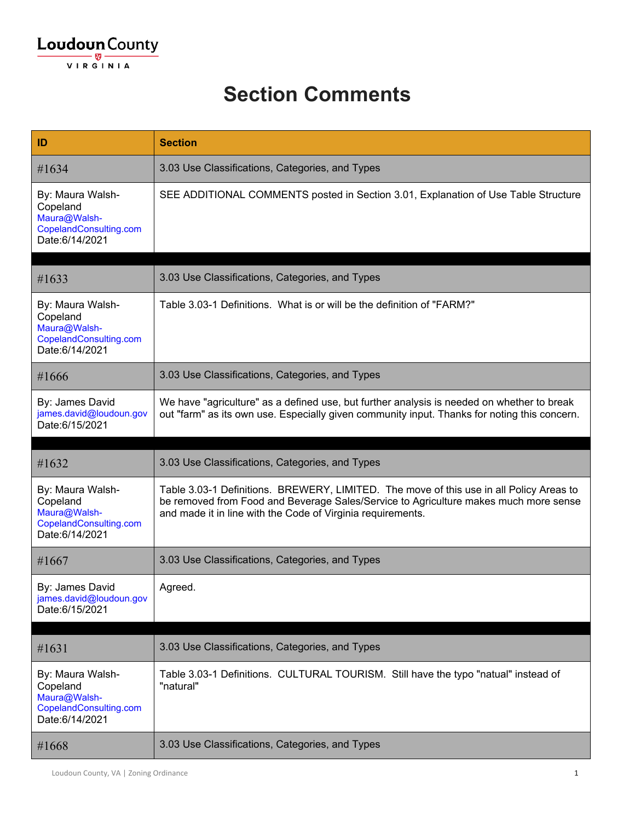

| ID                                                                                       | <b>Section</b>                                                                                                                                                                                                                                 |
|------------------------------------------------------------------------------------------|------------------------------------------------------------------------------------------------------------------------------------------------------------------------------------------------------------------------------------------------|
| #1634                                                                                    | 3.03 Use Classifications, Categories, and Types                                                                                                                                                                                                |
| By: Maura Walsh-<br>Copeland<br>Maura@Walsh-<br>CopelandConsulting.com<br>Date:6/14/2021 | SEE ADDITIONAL COMMENTS posted in Section 3.01, Explanation of Use Table Structure                                                                                                                                                             |
| #1633                                                                                    | 3.03 Use Classifications, Categories, and Types                                                                                                                                                                                                |
| By: Maura Walsh-<br>Copeland<br>Maura@Walsh-<br>CopelandConsulting.com<br>Date:6/14/2021 | Table 3.03-1 Definitions. What is or will be the definition of "FARM?"                                                                                                                                                                         |
| #1666                                                                                    | 3.03 Use Classifications, Categories, and Types                                                                                                                                                                                                |
| By: James David<br>james.david@loudoun.gov<br>Date:6/15/2021                             | We have "agriculture" as a defined use, but further analysis is needed on whether to break<br>out "farm" as its own use. Especially given community input. Thanks for noting this concern.                                                     |
|                                                                                          |                                                                                                                                                                                                                                                |
| #1632                                                                                    | 3.03 Use Classifications, Categories, and Types                                                                                                                                                                                                |
| By: Maura Walsh-<br>Copeland<br>Maura@Walsh-<br>CopelandConsulting.com<br>Date:6/14/2021 | Table 3.03-1 Definitions. BREWERY, LIMITED. The move of this use in all Policy Areas to<br>be removed from Food and Beverage Sales/Service to Agriculture makes much more sense<br>and made it in line with the Code of Virginia requirements. |
| #1667                                                                                    | 3.03 Use Classifications, Categories, and Types                                                                                                                                                                                                |
| By: James David<br>james.david@loudoun.gov<br>Date:6/15/2021                             | Agreed.                                                                                                                                                                                                                                        |
|                                                                                          |                                                                                                                                                                                                                                                |
| #1631                                                                                    | 3.03 Use Classifications, Categories, and Types                                                                                                                                                                                                |
| By: Maura Walsh-<br>Copeland<br>Maura@Walsh-<br>CopelandConsulting.com<br>Date:6/14/2021 | Table 3.03-1 Definitions. CULTURAL TOURISM. Still have the typo "natual" instead of<br>"natural"                                                                                                                                               |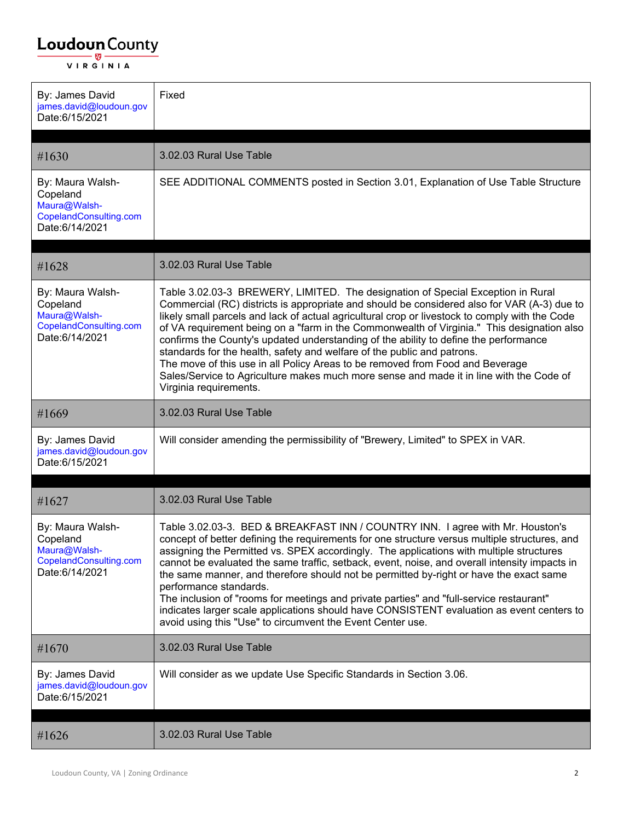| By: James David<br>james.david@loudoun.gov<br>Date:6/15/2021                             | Fixed                                                                                                                                                                                                                                                                                                                                                                                                                                                                                                                                                                                                                                                                                                                                                   |
|------------------------------------------------------------------------------------------|---------------------------------------------------------------------------------------------------------------------------------------------------------------------------------------------------------------------------------------------------------------------------------------------------------------------------------------------------------------------------------------------------------------------------------------------------------------------------------------------------------------------------------------------------------------------------------------------------------------------------------------------------------------------------------------------------------------------------------------------------------|
| #1630                                                                                    | 3.02.03 Rural Use Table                                                                                                                                                                                                                                                                                                                                                                                                                                                                                                                                                                                                                                                                                                                                 |
| By: Maura Walsh-<br>Copeland<br>Maura@Walsh-<br>CopelandConsulting.com<br>Date:6/14/2021 | SEE ADDITIONAL COMMENTS posted in Section 3.01, Explanation of Use Table Structure                                                                                                                                                                                                                                                                                                                                                                                                                                                                                                                                                                                                                                                                      |
| #1628                                                                                    | 3.02.03 Rural Use Table                                                                                                                                                                                                                                                                                                                                                                                                                                                                                                                                                                                                                                                                                                                                 |
| By: Maura Walsh-<br>Copeland<br>Maura@Walsh-<br>CopelandConsulting.com<br>Date:6/14/2021 | Table 3.02.03-3 BREWERY, LIMITED. The designation of Special Exception in Rural<br>Commercial (RC) districts is appropriate and should be considered also for VAR (A-3) due to<br>likely small parcels and lack of actual agricultural crop or livestock to comply with the Code<br>of VA requirement being on a "farm in the Commonwealth of Virginia." This designation also<br>confirms the County's updated understanding of the ability to define the performance<br>standards for the health, safety and welfare of the public and patrons.<br>The move of this use in all Policy Areas to be removed from Food and Beverage<br>Sales/Service to Agriculture makes much more sense and made it in line with the Code of<br>Virginia requirements. |
| #1669                                                                                    | 3.02.03 Rural Use Table                                                                                                                                                                                                                                                                                                                                                                                                                                                                                                                                                                                                                                                                                                                                 |
| By: James David<br>james.david@loudoun.gov<br>Date:6/15/2021                             | Will consider amending the permissibility of "Brewery, Limited" to SPEX in VAR.                                                                                                                                                                                                                                                                                                                                                                                                                                                                                                                                                                                                                                                                         |
| #1627                                                                                    | 3.02.03 Rural Use Table                                                                                                                                                                                                                                                                                                                                                                                                                                                                                                                                                                                                                                                                                                                                 |
| By: Maura Walsh-<br>Copeland<br>Maura@Walsh-<br>CopelandConsulting.com<br>Date:6/14/2021 | Table 3.02.03-3. BED & BREAKFAST INN / COUNTRY INN. I agree with Mr. Houston's<br>concept of better defining the requirements for one structure versus multiple structures, and<br>assigning the Permitted vs. SPEX accordingly. The applications with multiple structures<br>cannot be evaluated the same traffic, setback, event, noise, and overall intensity impacts in<br>the same manner, and therefore should not be permitted by-right or have the exact same<br>performance standards.<br>The inclusion of "rooms for meetings and private parties" and "full-service restaurant"<br>indicates larger scale applications should have CONSISTENT evaluation as event centers to<br>avoid using this "Use" to circumvent the Event Center use.   |
| #1670                                                                                    | 3.02.03 Rural Use Table                                                                                                                                                                                                                                                                                                                                                                                                                                                                                                                                                                                                                                                                                                                                 |
| By: James David<br>james.david@loudoun.gov<br>Date:6/15/2021                             | Will consider as we update Use Specific Standards in Section 3.06.                                                                                                                                                                                                                                                                                                                                                                                                                                                                                                                                                                                                                                                                                      |
| #1626                                                                                    | 3.02.03 Rural Use Table                                                                                                                                                                                                                                                                                                                                                                                                                                                                                                                                                                                                                                                                                                                                 |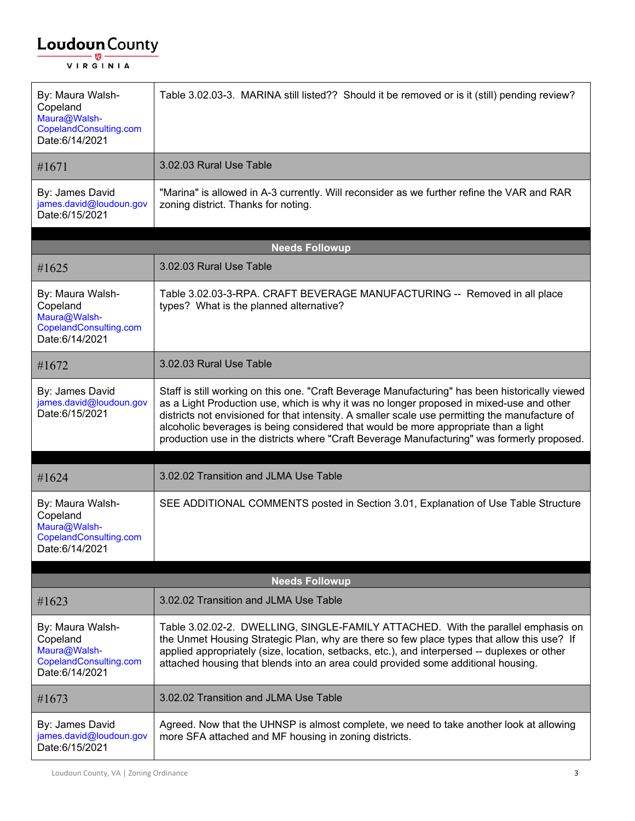| By: Maura Walsh-<br>Copeland<br>Maura@Walsh-<br>CopelandConsulting.com<br>Date:6/14/2021 | Table 3.02.03-3. MARINA still listed?? Should it be removed or is it (still) pending review?                                                                                                                                                                                                                                                                                                                                                                                        |
|------------------------------------------------------------------------------------------|-------------------------------------------------------------------------------------------------------------------------------------------------------------------------------------------------------------------------------------------------------------------------------------------------------------------------------------------------------------------------------------------------------------------------------------------------------------------------------------|
| #1671                                                                                    | 3.02.03 Rural Use Table                                                                                                                                                                                                                                                                                                                                                                                                                                                             |
| By: James David<br>james.david@loudoun.gov<br>Date: 6/15/2021                            | "Marina" is allowed in A-3 currently. Will reconsider as we further refine the VAR and RAR<br>zoning district. Thanks for noting.                                                                                                                                                                                                                                                                                                                                                   |
|                                                                                          | <b>Needs Followup</b>                                                                                                                                                                                                                                                                                                                                                                                                                                                               |
| #1625                                                                                    | 3.02.03 Rural Use Table                                                                                                                                                                                                                                                                                                                                                                                                                                                             |
| By: Maura Walsh-<br>Copeland<br>Maura@Walsh-<br>CopelandConsulting.com<br>Date:6/14/2021 | Table 3.02.03-3-RPA. CRAFT BEVERAGE MANUFACTURING -- Removed in all place<br>types? What is the planned alternative?                                                                                                                                                                                                                                                                                                                                                                |
| #1672                                                                                    | 3.02.03 Rural Use Table                                                                                                                                                                                                                                                                                                                                                                                                                                                             |
| By: James David<br>james.david@loudoun.gov<br>Date:6/15/2021                             | Staff is still working on this one. "Craft Beverage Manufacturing" has been historically viewed<br>as a Light Production use, which is why it was no longer proposed in mixed-use and other<br>districts not envisioned for that intensity. A smaller scale use permitting the manufacture of<br>alcoholic beverages is being considered that would be more appropriate than a light<br>production use in the districts where "Craft Beverage Manufacturing" was formerly proposed. |
| #1624                                                                                    | 3.02.02 Transition and JLMA Use Table                                                                                                                                                                                                                                                                                                                                                                                                                                               |
| By: Maura Walsh-<br>Copeland<br>Maura@Walsh-<br>CopelandConsulting.com<br>Date:6/14/2021 | SEE ADDITIONAL COMMENTS posted in Section 3.01, Explanation of Use Table Structure                                                                                                                                                                                                                                                                                                                                                                                                  |
|                                                                                          | <b>Needs Followup</b>                                                                                                                                                                                                                                                                                                                                                                                                                                                               |
| #1623                                                                                    | 3.02.02 Transition and JLMA Use Table                                                                                                                                                                                                                                                                                                                                                                                                                                               |
| By: Maura Walsh-<br>Copeland<br>Maura@Walsh-<br>CopelandConsulting.com<br>Date:6/14/2021 | Table 3.02.02-2. DWELLING, SINGLE-FAMILY ATTACHED. With the parallel emphasis on<br>the Unmet Housing Strategic Plan, why are there so few place types that allow this use? If<br>applied appropriately (size, location, setbacks, etc.), and interpersed -- duplexes or other<br>attached housing that blends into an area could provided some additional housing.                                                                                                                 |
| #1673                                                                                    | 3.02.02 Transition and JLMA Use Table                                                                                                                                                                                                                                                                                                                                                                                                                                               |
| By: James David<br>james.david@loudoun.gov<br>Date:6/15/2021                             | Agreed. Now that the UHNSP is almost complete, we need to take another look at allowing<br>more SFA attached and MF housing in zoning districts.                                                                                                                                                                                                                                                                                                                                    |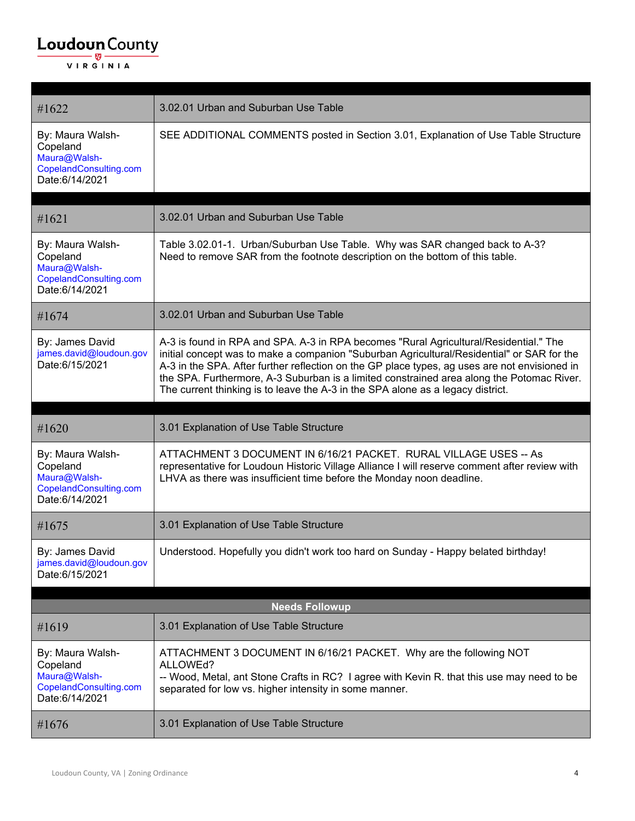| #1622                                                                                    | 3.02.01 Urban and Suburban Use Table                                                                                                                                                                                                                                                                                                                                                                                                                                 |
|------------------------------------------------------------------------------------------|----------------------------------------------------------------------------------------------------------------------------------------------------------------------------------------------------------------------------------------------------------------------------------------------------------------------------------------------------------------------------------------------------------------------------------------------------------------------|
| By: Maura Walsh-<br>Copeland<br>Maura@Walsh-<br>CopelandConsulting.com<br>Date:6/14/2021 | SEE ADDITIONAL COMMENTS posted in Section 3.01, Explanation of Use Table Structure                                                                                                                                                                                                                                                                                                                                                                                   |
|                                                                                          |                                                                                                                                                                                                                                                                                                                                                                                                                                                                      |
| #1621                                                                                    | 3.02.01 Urban and Suburban Use Table                                                                                                                                                                                                                                                                                                                                                                                                                                 |
| By: Maura Walsh-<br>Copeland<br>Maura@Walsh-<br>CopelandConsulting.com<br>Date:6/14/2021 | Table 3.02.01-1. Urban/Suburban Use Table. Why was SAR changed back to A-3?<br>Need to remove SAR from the footnote description on the bottom of this table.                                                                                                                                                                                                                                                                                                         |
| #1674                                                                                    | 3.02.01 Urban and Suburban Use Table                                                                                                                                                                                                                                                                                                                                                                                                                                 |
| By: James David<br>james.david@loudoun.gov<br>Date:6/15/2021                             | A-3 is found in RPA and SPA. A-3 in RPA becomes "Rural Agricultural/Residential." The<br>initial concept was to make a companion "Suburban Agricultural/Residential" or SAR for the<br>A-3 in the SPA. After further reflection on the GP place types, ag uses are not envisioned in<br>the SPA. Furthermore, A-3 Suburban is a limited constrained area along the Potomac River.<br>The current thinking is to leave the A-3 in the SPA alone as a legacy district. |
|                                                                                          |                                                                                                                                                                                                                                                                                                                                                                                                                                                                      |
|                                                                                          |                                                                                                                                                                                                                                                                                                                                                                                                                                                                      |
| #1620                                                                                    | 3.01 Explanation of Use Table Structure                                                                                                                                                                                                                                                                                                                                                                                                                              |
| By: Maura Walsh-<br>Copeland<br>Maura@Walsh-<br>CopelandConsulting.com<br>Date:6/14/2021 | ATTACHMENT 3 DOCUMENT IN 6/16/21 PACKET. RURAL VILLAGE USES -- As<br>representative for Loudoun Historic Village Alliance I will reserve comment after review with<br>LHVA as there was insufficient time before the Monday noon deadline.                                                                                                                                                                                                                           |
| #1675                                                                                    | 3.01 Explanation of Use Table Structure                                                                                                                                                                                                                                                                                                                                                                                                                              |
| By: James David<br>james.david@loudoun.gov<br>Date:6/15/2021                             | Understood. Hopefully you didn't work too hard on Sunday - Happy belated birthday!                                                                                                                                                                                                                                                                                                                                                                                   |
|                                                                                          |                                                                                                                                                                                                                                                                                                                                                                                                                                                                      |
| #1619                                                                                    | <b>Needs Followup</b><br>3.01 Explanation of Use Table Structure                                                                                                                                                                                                                                                                                                                                                                                                     |
| By: Maura Walsh-<br>Copeland<br>Maura@Walsh-<br>CopelandConsulting.com<br>Date:6/14/2021 | ATTACHMENT 3 DOCUMENT IN 6/16/21 PACKET. Why are the following NOT<br>ALLOWEd?<br>-- Wood, Metal, ant Stone Crafts in RC? I agree with Kevin R. that this use may need to be<br>separated for low vs. higher intensity in some manner.                                                                                                                                                                                                                               |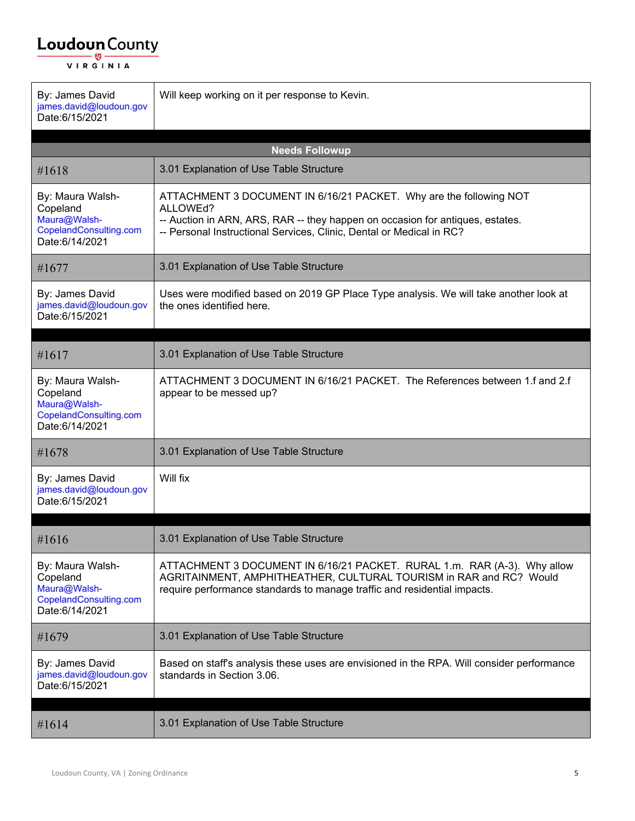| By: James David<br>james.david@loudoun.gov<br>Date:6/15/2021                             | Will keep working on it per response to Kevin.                                                                                                                                                                                          |
|------------------------------------------------------------------------------------------|-----------------------------------------------------------------------------------------------------------------------------------------------------------------------------------------------------------------------------------------|
|                                                                                          | <b>Needs Followup</b>                                                                                                                                                                                                                   |
| #1618                                                                                    | 3.01 Explanation of Use Table Structure                                                                                                                                                                                                 |
| By: Maura Walsh-<br>Copeland<br>Maura@Walsh-<br>CopelandConsulting.com<br>Date:6/14/2021 | ATTACHMENT 3 DOCUMENT IN 6/16/21 PACKET. Why are the following NOT<br>ALLOWEd?<br>-- Auction in ARN, ARS, RAR -- they happen on occasion for antiques, estates.<br>-- Personal Instructional Services, Clinic, Dental or Medical in RC? |
| #1677                                                                                    | 3.01 Explanation of Use Table Structure                                                                                                                                                                                                 |
| By: James David<br>james.david@loudoun.gov<br>Date:6/15/2021                             | Uses were modified based on 2019 GP Place Type analysis. We will take another look at<br>the ones identified here.                                                                                                                      |
| #1617                                                                                    | 3.01 Explanation of Use Table Structure                                                                                                                                                                                                 |
| By: Maura Walsh-<br>Copeland<br>Maura@Walsh-<br>CopelandConsulting.com<br>Date:6/14/2021 | ATTACHMENT 3 DOCUMENT IN 6/16/21 PACKET. The References between 1.f and 2.f<br>appear to be messed up?                                                                                                                                  |
| #1678                                                                                    | 3.01 Explanation of Use Table Structure                                                                                                                                                                                                 |
| By: James David<br>james.david@loudoun.gov<br>Date:6/15/2021                             | Will fix                                                                                                                                                                                                                                |
| #1616                                                                                    | 3.01 Explanation of Use Table Structure                                                                                                                                                                                                 |
| By: Maura Walsh-<br>Copeland<br>Maura@Walsh-<br>CopelandConsulting.com<br>Date:6/14/2021 | ATTACHMENT 3 DOCUMENT IN 6/16/21 PACKET. RURAL 1.m. RAR (A-3). Why allow<br>AGRITAINMENT, AMPHITHEATHER, CULTURAL TOURISM in RAR and RC? Would<br>require performance standards to manage traffic and residential impacts.              |
| #1679                                                                                    | 3.01 Explanation of Use Table Structure                                                                                                                                                                                                 |
| By: James David<br>james.david@loudoun.gov<br>Date:6/15/2021                             | Based on staff's analysis these uses are envisioned in the RPA. Will consider performance<br>standards in Section 3.06.                                                                                                                 |
| #1614                                                                                    | 3.01 Explanation of Use Table Structure                                                                                                                                                                                                 |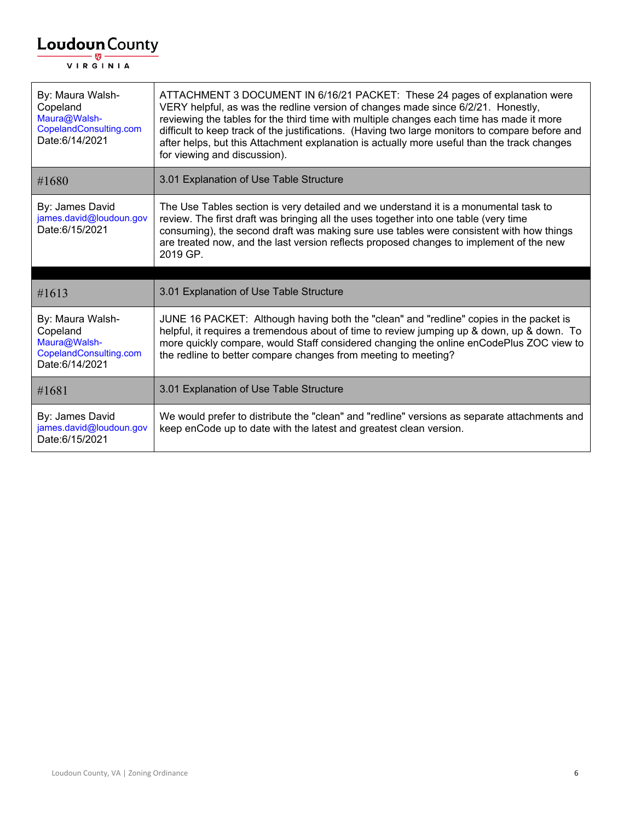| By: Maura Walsh-<br>Copeland<br>Maura@Walsh-<br>CopelandConsulting.com<br>Date:6/14/2021 | ATTACHMENT 3 DOCUMENT IN 6/16/21 PACKET: These 24 pages of explanation were<br>VERY helpful, as was the redline version of changes made since 6/2/21. Honestly,<br>reviewing the tables for the third time with multiple changes each time has made it more<br>difficult to keep track of the justifications. (Having two large monitors to compare before and<br>after helps, but this Attachment explanation is actually more useful than the track changes<br>for viewing and discussion). |
|------------------------------------------------------------------------------------------|-----------------------------------------------------------------------------------------------------------------------------------------------------------------------------------------------------------------------------------------------------------------------------------------------------------------------------------------------------------------------------------------------------------------------------------------------------------------------------------------------|
| #1680                                                                                    | 3.01 Explanation of Use Table Structure                                                                                                                                                                                                                                                                                                                                                                                                                                                       |
| By: James David<br>james.david@loudoun.gov<br>Date:6/15/2021                             | The Use Tables section is very detailed and we understand it is a monumental task to<br>review. The first draft was bringing all the uses together into one table (very time<br>consuming), the second draft was making sure use tables were consistent with how things<br>are treated now, and the last version reflects proposed changes to implement of the new<br>2019 GP.                                                                                                                |
|                                                                                          |                                                                                                                                                                                                                                                                                                                                                                                                                                                                                               |
|                                                                                          |                                                                                                                                                                                                                                                                                                                                                                                                                                                                                               |
| #1613                                                                                    | 3.01 Explanation of Use Table Structure                                                                                                                                                                                                                                                                                                                                                                                                                                                       |
| By: Maura Walsh-<br>Copeland<br>Maura@Walsh-<br>CopelandConsulting.com<br>Date:6/14/2021 | JUNE 16 PACKET: Although having both the "clean" and "redline" copies in the packet is<br>helpful, it requires a tremendous about of time to review jumping up & down, up & down. To<br>more quickly compare, would Staff considered changing the online enCodePlus ZOC view to<br>the redline to better compare changes from meeting to meeting?                                                                                                                                             |
| #1681                                                                                    | 3.01 Explanation of Use Table Structure                                                                                                                                                                                                                                                                                                                                                                                                                                                       |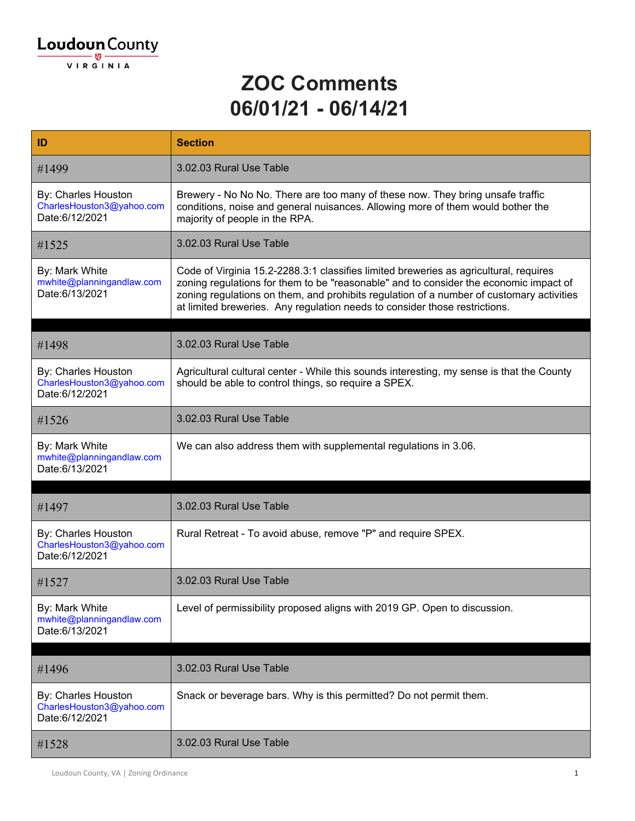#### **ZOC Comments 06/01/21 - 06/14/21**

| ID                                                                 | <b>Section</b>                                                                                                                                                                                                                                                                                                                                           |
|--------------------------------------------------------------------|----------------------------------------------------------------------------------------------------------------------------------------------------------------------------------------------------------------------------------------------------------------------------------------------------------------------------------------------------------|
| #1499                                                              | 3.02.03 Rural Use Table                                                                                                                                                                                                                                                                                                                                  |
| By: Charles Houston<br>CharlesHouston3@yahoo.com<br>Date:6/12/2021 | Brewery - No No No. There are too many of these now. They bring unsafe traffic<br>conditions, noise and general nuisances. Allowing more of them would bother the<br>majority of people in the RPA.                                                                                                                                                      |
| #1525                                                              | 3.02.03 Rural Use Table                                                                                                                                                                                                                                                                                                                                  |
| By: Mark White<br>mwhite@planningandlaw.com<br>Date:6/13/2021      | Code of Virginia 15.2-2288.3:1 classifies limited breweries as agricultural, requires<br>zoning regulations for them to be "reasonable" and to consider the economic impact of<br>zoning regulations on them, and prohibits regulation of a number of customary activities<br>at limited breweries. Any regulation needs to consider those restrictions. |
| #1498                                                              | 3.02.03 Rural Use Table                                                                                                                                                                                                                                                                                                                                  |
| By: Charles Houston<br>CharlesHouston3@yahoo.com<br>Date:6/12/2021 | Agricultural cultural center - While this sounds interesting, my sense is that the County<br>should be able to control things, so require a SPEX.                                                                                                                                                                                                        |
| #1526                                                              | 3.02.03 Rural Use Table                                                                                                                                                                                                                                                                                                                                  |
| By: Mark White<br>mwhite@planningandlaw.com<br>Date:6/13/2021      | We can also address them with supplemental regulations in 3.06.                                                                                                                                                                                                                                                                                          |
| #1497                                                              | 3.02.03 Rural Use Table                                                                                                                                                                                                                                                                                                                                  |
| By: Charles Houston<br>CharlesHouston3@yahoo.com<br>Date:6/12/2021 | Rural Retreat - To avoid abuse, remove "P" and require SPEX.                                                                                                                                                                                                                                                                                             |
| #1527                                                              | 3.02.03 Rural Use Table                                                                                                                                                                                                                                                                                                                                  |
| By: Mark White<br>mwhite@planningandlaw.com<br>Date:6/13/2021      | Level of permissibility proposed aligns with 2019 GP. Open to discussion.                                                                                                                                                                                                                                                                                |
| #1496                                                              | 3.02.03 Rural Use Table                                                                                                                                                                                                                                                                                                                                  |
| By: Charles Houston<br>CharlesHouston3@yahoo.com<br>Date:6/12/2021 | Snack or beverage bars. Why is this permitted? Do not permit them.                                                                                                                                                                                                                                                                                       |
| #1528                                                              | 3.02.03 Rural Use Table                                                                                                                                                                                                                                                                                                                                  |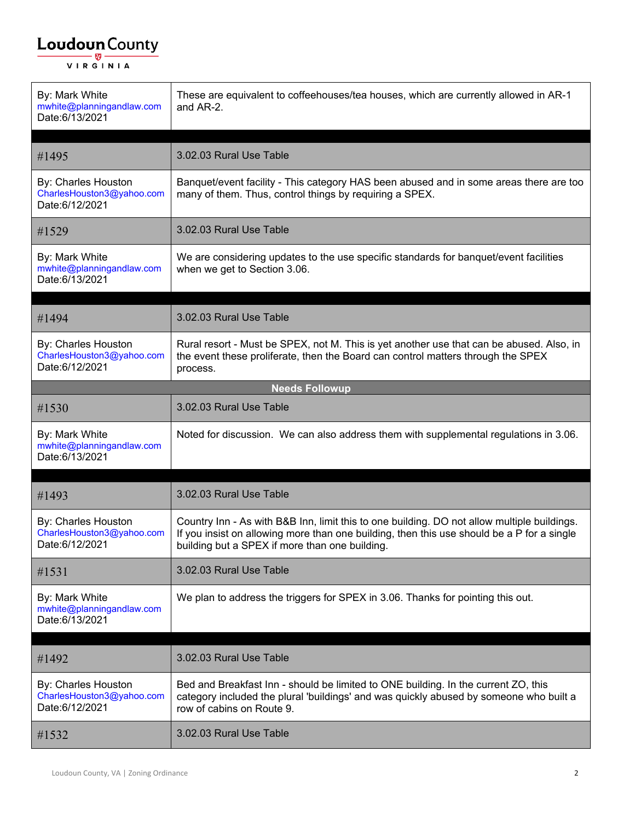| By: Mark White<br>mwhite@planningandlaw.com<br>Date:6/13/2021      | These are equivalent to coffeehouses/tea houses, which are currently allowed in AR-1<br>and AR-2.                                                                                                                                           |
|--------------------------------------------------------------------|---------------------------------------------------------------------------------------------------------------------------------------------------------------------------------------------------------------------------------------------|
| #1495                                                              | 3.02.03 Rural Use Table                                                                                                                                                                                                                     |
| By: Charles Houston<br>CharlesHouston3@yahoo.com<br>Date:6/12/2021 | Banquet/event facility - This category HAS been abused and in some areas there are too<br>many of them. Thus, control things by requiring a SPEX.                                                                                           |
| #1529                                                              | 3.02.03 Rural Use Table                                                                                                                                                                                                                     |
| By: Mark White<br>mwhite@planningandlaw.com<br>Date:6/13/2021      | We are considering updates to the use specific standards for banquet/event facilities<br>when we get to Section 3.06.                                                                                                                       |
| #1494                                                              | 3.02.03 Rural Use Table                                                                                                                                                                                                                     |
| By: Charles Houston<br>CharlesHouston3@yahoo.com<br>Date:6/12/2021 | Rural resort - Must be SPEX, not M. This is yet another use that can be abused. Also, in<br>the event these proliferate, then the Board can control matters through the SPEX<br>process.                                                    |
|                                                                    | <b>Needs Followup</b>                                                                                                                                                                                                                       |
| #1530                                                              | 3.02.03 Rural Use Table                                                                                                                                                                                                                     |
| By: Mark White<br>mwhite@planningandlaw.com<br>Date:6/13/2021      | Noted for discussion. We can also address them with supplemental regulations in 3.06.                                                                                                                                                       |
|                                                                    |                                                                                                                                                                                                                                             |
| #1493                                                              | 3.02.03 Rural Use Table                                                                                                                                                                                                                     |
| By: Charles Houston<br>CharlesHouston3@yahoo.com<br>Date:6/12/2021 | Country Inn - As with B&B Inn, limit this to one building. DO not allow multiple buildings.<br>If you insist on allowing more than one building, then this use should be a P for a single<br>building but a SPEX if more than one building. |
| #1531                                                              | 3.02.03 Rural Use Table                                                                                                                                                                                                                     |
| By: Mark White<br>mwhite@planningandlaw.com<br>Date:6/13/2021      | We plan to address the triggers for SPEX in 3.06. Thanks for pointing this out.                                                                                                                                                             |
|                                                                    |                                                                                                                                                                                                                                             |
| #1492                                                              | 3.02.03 Rural Use Table                                                                                                                                                                                                                     |
| By: Charles Houston<br>CharlesHouston3@yahoo.com<br>Date:6/12/2021 | Bed and Breakfast Inn - should be limited to ONE building. In the current ZO, this<br>category included the plural 'buildings' and was quickly abused by someone who built a<br>row of cabins on Route 9.                                   |
| #1532                                                              | 3.02.03 Rural Use Table                                                                                                                                                                                                                     |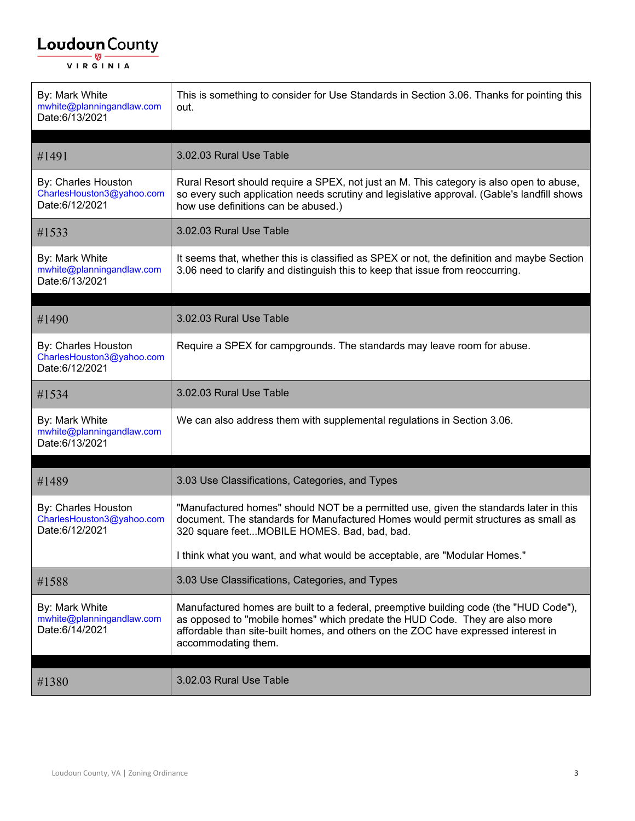| By: Mark White<br>mwhite@planningandlaw.com<br>Date:6/13/2021      | This is something to consider for Use Standards in Section 3.06. Thanks for pointing this<br>out.                                                                                                                                                                                 |
|--------------------------------------------------------------------|-----------------------------------------------------------------------------------------------------------------------------------------------------------------------------------------------------------------------------------------------------------------------------------|
| #1491                                                              | 3.02.03 Rural Use Table                                                                                                                                                                                                                                                           |
| By: Charles Houston<br>CharlesHouston3@yahoo.com<br>Date:6/12/2021 | Rural Resort should require a SPEX, not just an M. This category is also open to abuse,<br>so every such application needs scrutiny and legislative approval. (Gable's landfill shows<br>how use definitions can be abused.)                                                      |
| #1533                                                              | 3.02.03 Rural Use Table                                                                                                                                                                                                                                                           |
| By: Mark White<br>mwhite@planningandlaw.com<br>Date:6/13/2021      | It seems that, whether this is classified as SPEX or not, the definition and maybe Section<br>3.06 need to clarify and distinguish this to keep that issue from reoccurring.                                                                                                      |
| #1490                                                              | 3.02.03 Rural Use Table                                                                                                                                                                                                                                                           |
| By: Charles Houston<br>CharlesHouston3@yahoo.com<br>Date:6/12/2021 | Require a SPEX for campgrounds. The standards may leave room for abuse.                                                                                                                                                                                                           |
| #1534                                                              | 3.02.03 Rural Use Table                                                                                                                                                                                                                                                           |
| By: Mark White<br>mwhite@planningandlaw.com<br>Date:6/13/2021      | We can also address them with supplemental regulations in Section 3.06.                                                                                                                                                                                                           |
| #1489                                                              | 3.03 Use Classifications, Categories, and Types                                                                                                                                                                                                                                   |
| By: Charles Houston<br>CharlesHouston3@yahoo.com<br>Date:6/12/2021 | "Manufactured homes" should NOT be a permitted use, given the standards later in this<br>document. The standards for Manufactured Homes would permit structures as small as<br>320 square feetMOBILE HOMES. Bad, bad, bad.                                                        |
|                                                                    | I think what you want, and what would be acceptable, are "Modular Homes."                                                                                                                                                                                                         |
| #1588                                                              | 3.03 Use Classifications, Categories, and Types                                                                                                                                                                                                                                   |
| By: Mark White<br>mwhite@planningandlaw.com<br>Date:6/14/2021      | Manufactured homes are built to a federal, preemptive building code (the "HUD Code"),<br>as opposed to "mobile homes" which predate the HUD Code. They are also more<br>affordable than site-built homes, and others on the ZOC have expressed interest in<br>accommodating them. |
| #1380                                                              | 3.02.03 Rural Use Table                                                                                                                                                                                                                                                           |